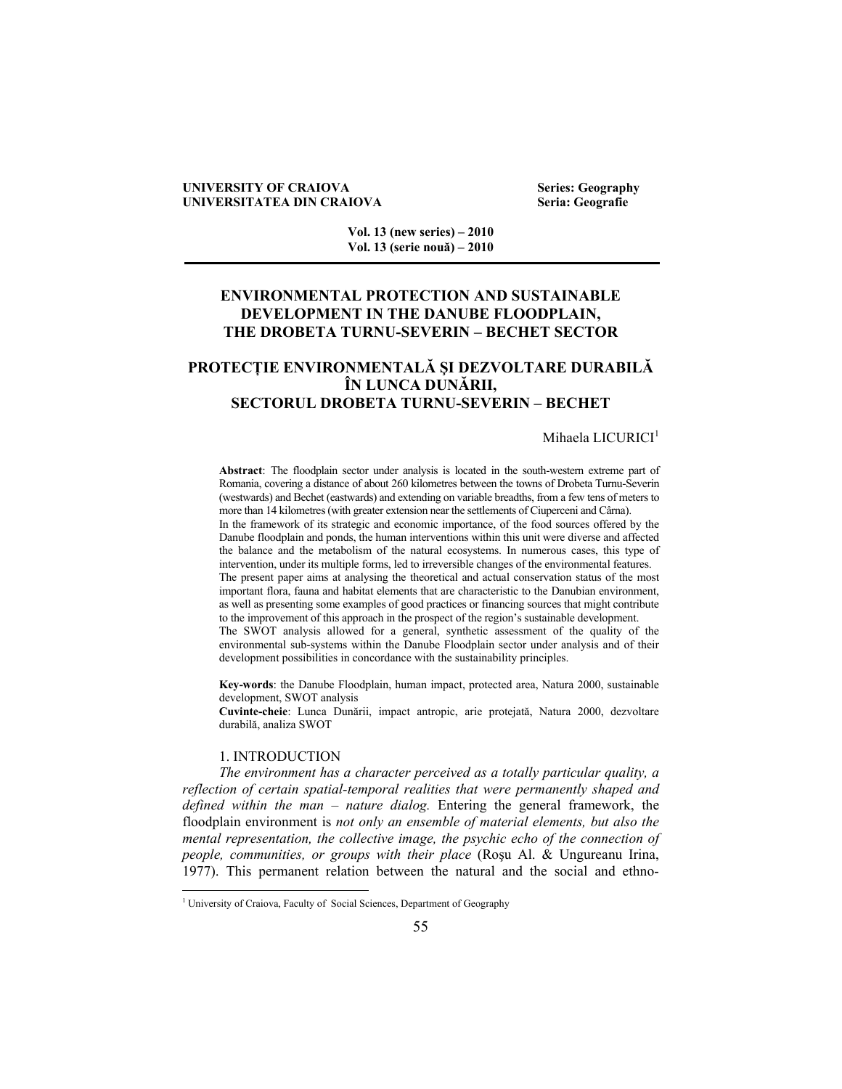## **UNIVERSITY OF CRAIOVA Series: Geography UNIVERSITATEA DIN CRAIOVA Seria: Geografie**

**Vol. 13 (new series) – 2010 Vol. 13 (serie nouă) – 2010** 

# **ENVIRONMENTAL PROTECTION AND SUSTAINABLE DEVELOPMENT IN THE DANUBE FLOODPLAIN, THE DROBETA TURNU-SEVERIN – BECHET SECTOR**

# **PROTECŢIE ENVIRONMENTALĂ ŞI DEZVOLTARE DURABILĂ ÎN LUNCA DUNĂRII, SECTORUL DROBETA TURNU-SEVERIN – BECHET**

## Mihaela LICURICI<sup>1</sup>

**Abstract**: The floodplain sector under analysis is located in the south-western extreme part of Romania, covering a distance of about 260 kilometres between the towns of Drobeta Turnu-Severin (westwards) and Bechet (eastwards) and extending on variable breadths, from a few tens of meters to more than 14 kilometres (with greater extension near the settlements of Ciuperceni and Cârna). In the framework of its strategic and economic importance, of the food sources offered by the Danube floodplain and ponds, the human interventions within this unit were diverse and affected the balance and the metabolism of the natural ecosystems. In numerous cases, this type of intervention, under its multiple forms, led to irreversible changes of the environmental features.

The present paper aims at analysing the theoretical and actual conservation status of the most important flora, fauna and habitat elements that are characteristic to the Danubian environment, as well as presenting some examples of good practices or financing sources that might contribute to the improvement of this approach in the prospect of the region's sustainable development.

The SWOT analysis allowed for a general, synthetic assessment of the quality of the environmental sub-systems within the Danube Floodplain sector under analysis and of their development possibilities in concordance with the sustainability principles.

**Key-words**: the Danube Floodplain, human impact, protected area, Natura 2000, sustainable development, SWOT analysis

**Cuvinte-cheie**: Lunca Dunării, impact antropic, arie protejată, Natura 2000, dezvoltare durabilă, analiza SWOT

## 1. INTRODUCTION

 $\overline{a}$ 

*The environment has a character perceived as a totally particular quality, a reflection of certain spatial-temporal realities that were permanently shaped and defined within the man – nature dialog.* Entering the general framework, the floodplain environment is *not only an ensemble of material elements, but also the mental representation, the collective image, the psychic echo of the connection of people, communities, or groups with their place* (Roşu Al. & Ungureanu Irina, 1977). This permanent relation between the natural and the social and ethno-

<sup>&</sup>lt;sup>1</sup> University of Craiova, Faculty of Social Sciences, Department of Geography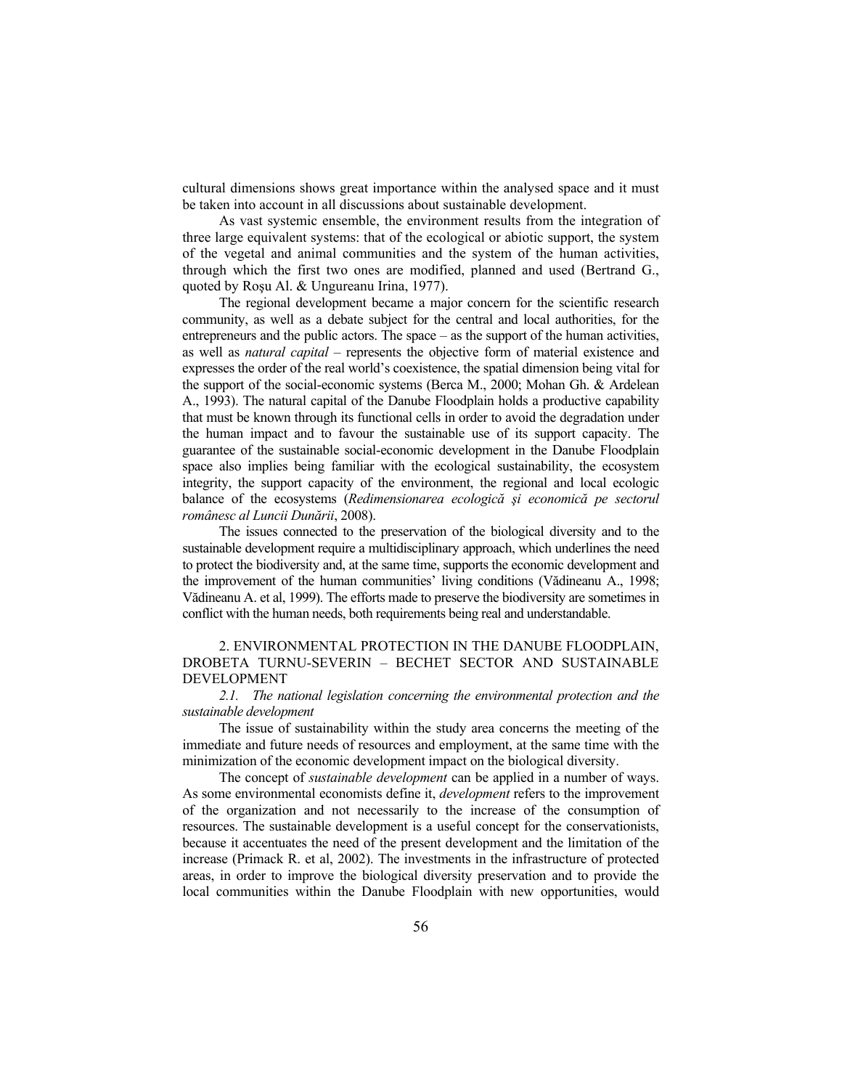cultural dimensions shows great importance within the analysed space and it must be taken into account in all discussions about sustainable development.

As vast systemic ensemble, the environment results from the integration of three large equivalent systems: that of the ecological or abiotic support, the system of the vegetal and animal communities and the system of the human activities, through which the first two ones are modified, planned and used (Bertrand G., quoted by Roşu Al. & Ungureanu Irina, 1977).

The regional development became a major concern for the scientific research community, as well as a debate subject for the central and local authorities, for the entrepreneurs and the public actors. The space – as the support of the human activities, as well as *natural capital* – represents the objective form of material existence and expresses the order of the real world's coexistence, the spatial dimension being vital for the support of the social-economic systems (Berca M., 2000; Mohan Gh. & Ardelean A., 1993). The natural capital of the Danube Floodplain holds a productive capability that must be known through its functional cells in order to avoid the degradation under the human impact and to favour the sustainable use of its support capacity. The guarantee of the sustainable social-economic development in the Danube Floodplain space also implies being familiar with the ecological sustainability, the ecosystem integrity, the support capacity of the environment, the regional and local ecologic balance of the ecosystems (*Redimensionarea ecologică şi economică pe sectorul românesc al Luncii Dunării*, 2008).

The issues connected to the preservation of the biological diversity and to the sustainable development require a multidisciplinary approach, which underlines the need to protect the biodiversity and, at the same time, supports the economic development and the improvement of the human communities' living conditions (Vădineanu A., 1998; Vădineanu A. et al, 1999). The efforts made to preserve the biodiversity are sometimes in conflict with the human needs, both requirements being real and understandable.

## 2. ENVIRONMENTAL PROTECTION IN THE DANUBE FLOODPLAIN, DROBETA TURNU-SEVERIN – BECHET SECTOR AND SUSTAINABLE DEVELOPMENT

*2.1. The national legislation concerning the environmental protection and the sustainable development* 

The issue of sustainability within the study area concerns the meeting of the immediate and future needs of resources and employment, at the same time with the minimization of the economic development impact on the biological diversity.

The concept of *sustainable development* can be applied in a number of ways. As some environmental economists define it, *development* refers to the improvement of the organization and not necessarily to the increase of the consumption of resources. The sustainable development is a useful concept for the conservationists, because it accentuates the need of the present development and the limitation of the increase (Primack R. et al, 2002). The investments in the infrastructure of protected areas, in order to improve the biological diversity preservation and to provide the local communities within the Danube Floodplain with new opportunities, would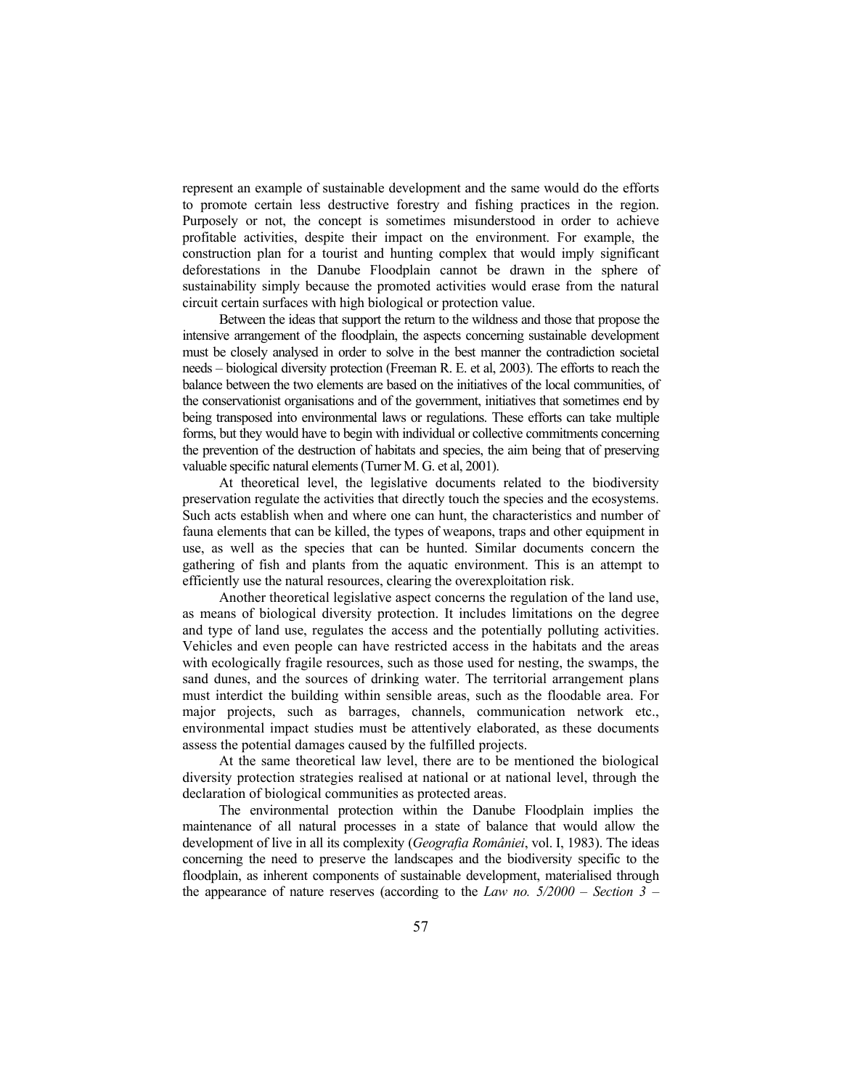represent an example of sustainable development and the same would do the efforts to promote certain less destructive forestry and fishing practices in the region. Purposely or not, the concept is sometimes misunderstood in order to achieve profitable activities, despite their impact on the environment. For example, the construction plan for a tourist and hunting complex that would imply significant deforestations in the Danube Floodplain cannot be drawn in the sphere of sustainability simply because the promoted activities would erase from the natural circuit certain surfaces with high biological or protection value.

Between the ideas that support the return to the wildness and those that propose the intensive arrangement of the floodplain, the aspects concerning sustainable development must be closely analysed in order to solve in the best manner the contradiction societal needs – biological diversity protection (Freeman R. E. et al, 2003). The efforts to reach the balance between the two elements are based on the initiatives of the local communities, of the conservationist organisations and of the government, initiatives that sometimes end by being transposed into environmental laws or regulations. These efforts can take multiple forms, but they would have to begin with individual or collective commitments concerning the prevention of the destruction of habitats and species, the aim being that of preserving valuable specific natural elements (Turner M. G. et al, 2001).

At theoretical level, the legislative documents related to the biodiversity preservation regulate the activities that directly touch the species and the ecosystems. Such acts establish when and where one can hunt, the characteristics and number of fauna elements that can be killed, the types of weapons, traps and other equipment in use, as well as the species that can be hunted. Similar documents concern the gathering of fish and plants from the aquatic environment. This is an attempt to efficiently use the natural resources, clearing the overexploitation risk.

Another theoretical legislative aspect concerns the regulation of the land use, as means of biological diversity protection. It includes limitations on the degree and type of land use, regulates the access and the potentially polluting activities. Vehicles and even people can have restricted access in the habitats and the areas with ecologically fragile resources, such as those used for nesting, the swamps, the sand dunes, and the sources of drinking water. The territorial arrangement plans must interdict the building within sensible areas, such as the floodable area. For major projects, such as barrages, channels, communication network etc., environmental impact studies must be attentively elaborated, as these documents assess the potential damages caused by the fulfilled projects.

At the same theoretical law level, there are to be mentioned the biological diversity protection strategies realised at national or at national level, through the declaration of biological communities as protected areas.

The environmental protection within the Danube Floodplain implies the maintenance of all natural processes in a state of balance that would allow the development of live in all its complexity (*Geografia României*, vol. I, 1983). The ideas concerning the need to preserve the landscapes and the biodiversity specific to the floodplain, as inherent components of sustainable development, materialised through the appearance of nature reserves (according to the *Law no. 5/2000 – Section 3 –*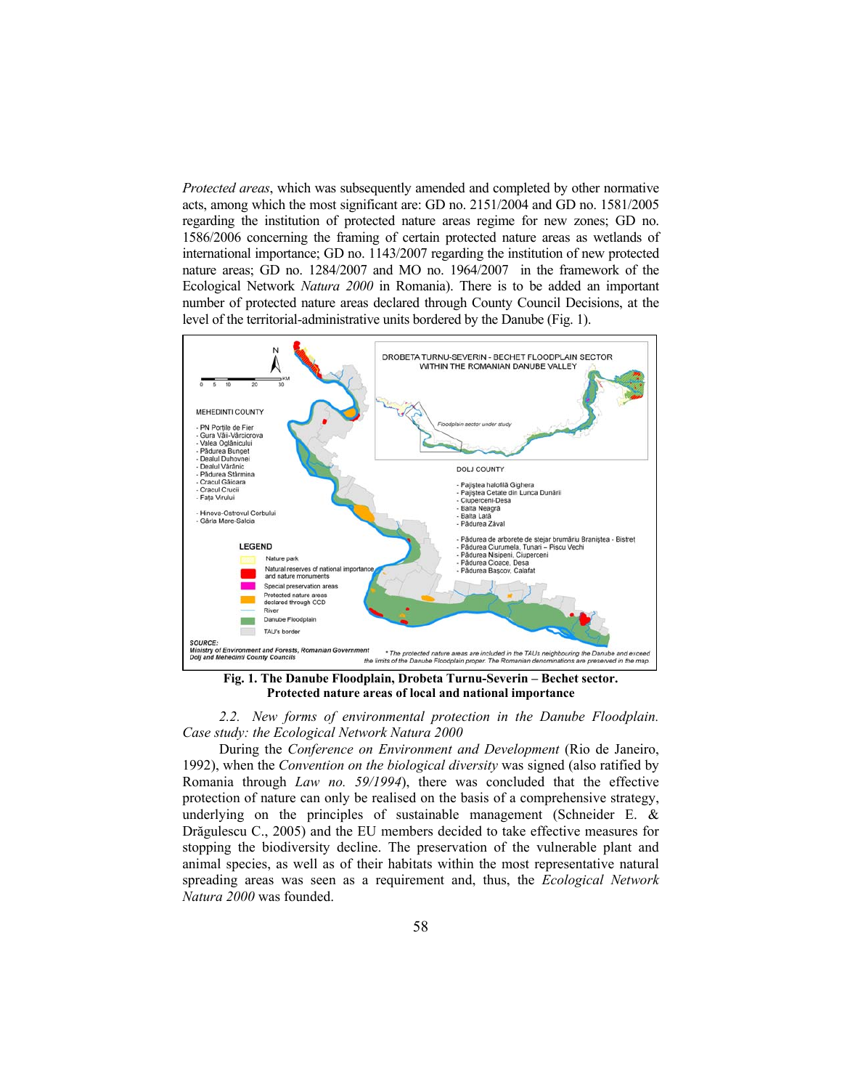*Protected areas*, which was subsequently amended and completed by other normative acts, among which the most significant are: GD no. 2151/2004 and GD no. 1581/2005 regarding the institution of protected nature areas regime for new zones; GD no. 1586/2006 concerning the framing of certain protected nature areas as wetlands of international importance; GD no. 1143/2007 regarding the institution of new protected nature areas; GD no. 1284/2007 and MO no. 1964/2007 in the framework of the Ecological Network *Natura 2000* in Romania). There is to be added an important number of protected nature areas declared through County Council Decisions, at the level of the territorial-administrative units bordered by the Danube (Fig. 1).



**Fig. 1. The Danube Floodplain, Drobeta Turnu-Severin – Bechet sector. Protected nature areas of local and national importance** 

*2.2. New forms of environmental protection in the Danube Floodplain. Case study: the Ecological Network Natura 2000* 

During the *Conference on Environment and Development* (Rio de Janeiro, 1992), when the *Convention on the biological diversity* was signed (also ratified by Romania through *Law no. 59/1994*), there was concluded that the effective protection of nature can only be realised on the basis of a comprehensive strategy, underlying on the principles of sustainable management (Schneider E. & Drăgulescu C., 2005) and the EU members decided to take effective measures for stopping the biodiversity decline. The preservation of the vulnerable plant and animal species, as well as of their habitats within the most representative natural spreading areas was seen as a requirement and, thus, the *Ecological Network Natura 2000* was founded.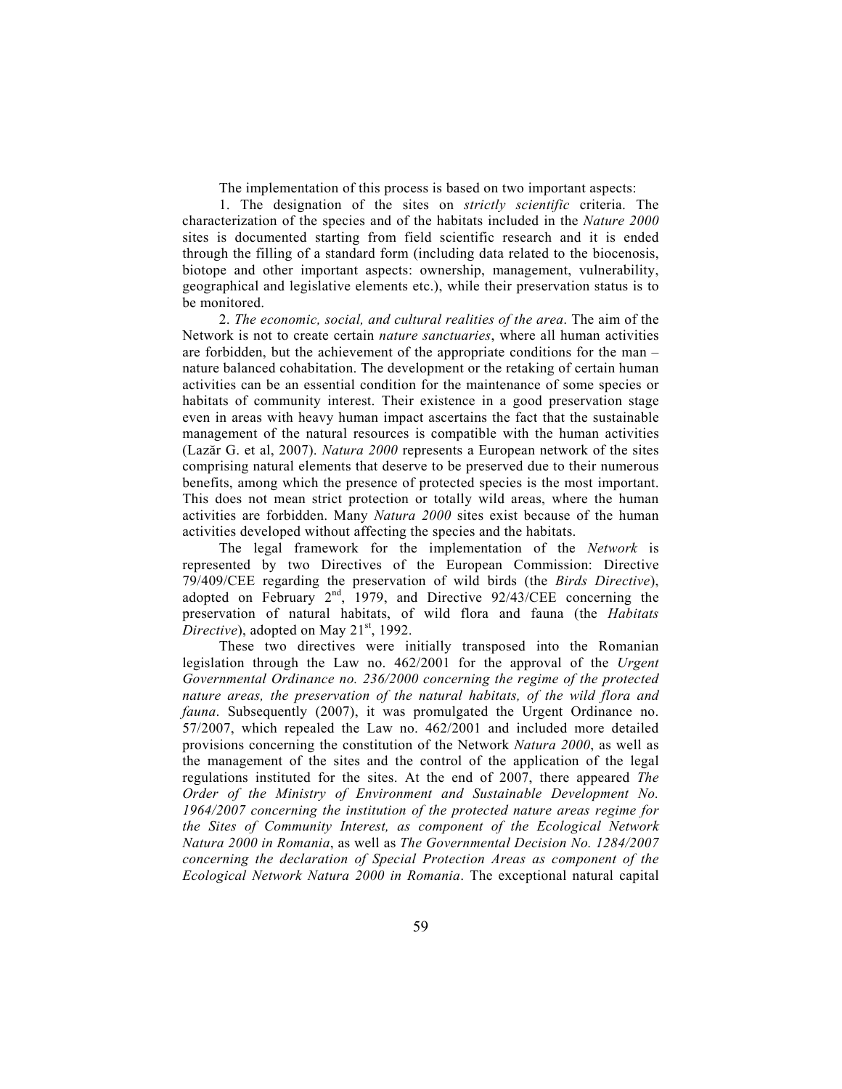The implementation of this process is based on two important aspects:

1. The designation of the sites on *strictly scientific* criteria. The characterization of the species and of the habitats included in the *Nature 2000* sites is documented starting from field scientific research and it is ended through the filling of a standard form (including data related to the biocenosis, biotope and other important aspects: ownership, management, vulnerability, geographical and legislative elements etc.), while their preservation status is to be monitored.

2. *The economic, social, and cultural realities of the area*. The aim of the Network is not to create certain *nature sanctuaries*, where all human activities are forbidden, but the achievement of the appropriate conditions for the man – nature balanced cohabitation. The development or the retaking of certain human activities can be an essential condition for the maintenance of some species or habitats of community interest. Their existence in a good preservation stage even in areas with heavy human impact ascertains the fact that the sustainable management of the natural resources is compatible with the human activities (Lazăr G. et al, 2007). *Natura 2000* represents a European network of the sites comprising natural elements that deserve to be preserved due to their numerous benefits, among which the presence of protected species is the most important. This does not mean strict protection or totally wild areas, where the human activities are forbidden. Many *Natura 2000* sites exist because of the human activities developed without affecting the species and the habitats.

The legal framework for the implementation of the *Network* is represented by two Directives of the European Commission: Directive 79/409/CEE regarding the preservation of wild birds (the *Birds Directive*), adopted on February  $2<sup>nd</sup>$ , 1979, and Directive 92/43/CEE concerning the preservation of natural habitats, of wild flora and fauna (the *Habitats Directive*), adopted on May  $21<sup>st</sup>$ , 1992.

These two directives were initially transposed into the Romanian legislation through the Law no. 462/2001 for the approval of the *Urgent Governmental Ordinance no. 236/2000 concerning the regime of the protected nature areas, the preservation of the natural habitats, of the wild flora and fauna*. Subsequently (2007), it was promulgated the Urgent Ordinance no. 57/2007, which repealed the Law no. 462/2001 and included more detailed provisions concerning the constitution of the Network *Natura 2000*, as well as the management of the sites and the control of the application of the legal regulations instituted for the sites. At the end of 2007, there appeared *The Order of the Ministry of Environment and Sustainable Development No. 1964/2007 concerning the institution of the protected nature areas regime for the Sites of Community Interest, as component of the Ecological Network Natura 2000 in Romania*, as well as *The Governmental Decision No. 1284/2007 concerning the declaration of Special Protection Areas as component of the Ecological Network Natura 2000 in Romania*. The exceptional natural capital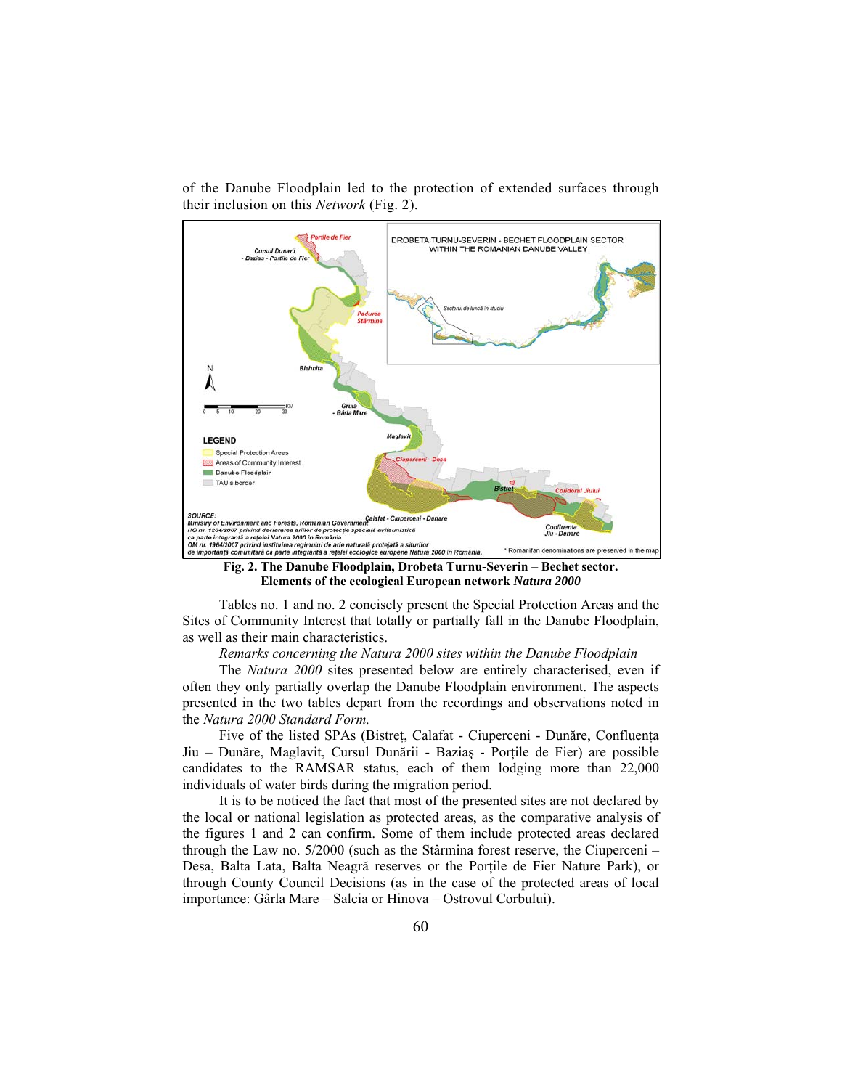of the Danube Floodplain led to the protection of extended surfaces through their inclusion on this *Network* (Fig. 2).



**Elements of the ecological European network** *Natura 2000*

Tables no. 1 and no. 2 concisely present the Special Protection Areas and the Sites of Community Interest that totally or partially fall in the Danube Floodplain, as well as their main characteristics.

*Remarks concerning the Natura 2000 sites within the Danube Floodplain* 

The *Natura 2000* sites presented below are entirely characterised, even if often they only partially overlap the Danube Floodplain environment. The aspects presented in the two tables depart from the recordings and observations noted in the *Natura 2000 Standard Form.* 

Five of the listed SPAs (Bistreţ, Calafat - Ciuperceni - Dunăre, Confluenţa Jiu – Dunăre, Maglavit, Cursul Dunării - Baziaş - Porţile de Fier) are possible candidates to the RAMSAR status, each of them lodging more than 22,000 individuals of water birds during the migration period.

It is to be noticed the fact that most of the presented sites are not declared by the local or national legislation as protected areas, as the comparative analysis of the figures 1 and 2 can confirm. Some of them include protected areas declared through the Law no. 5/2000 (such as the Stârmina forest reserve, the Ciuperceni – Desa, Balta Lata, Balta Neagră reserves or the Portile de Fier Nature Park), or through County Council Decisions (as in the case of the protected areas of local importance: Gârla Mare – Salcia or Hinova – Ostrovul Corbului).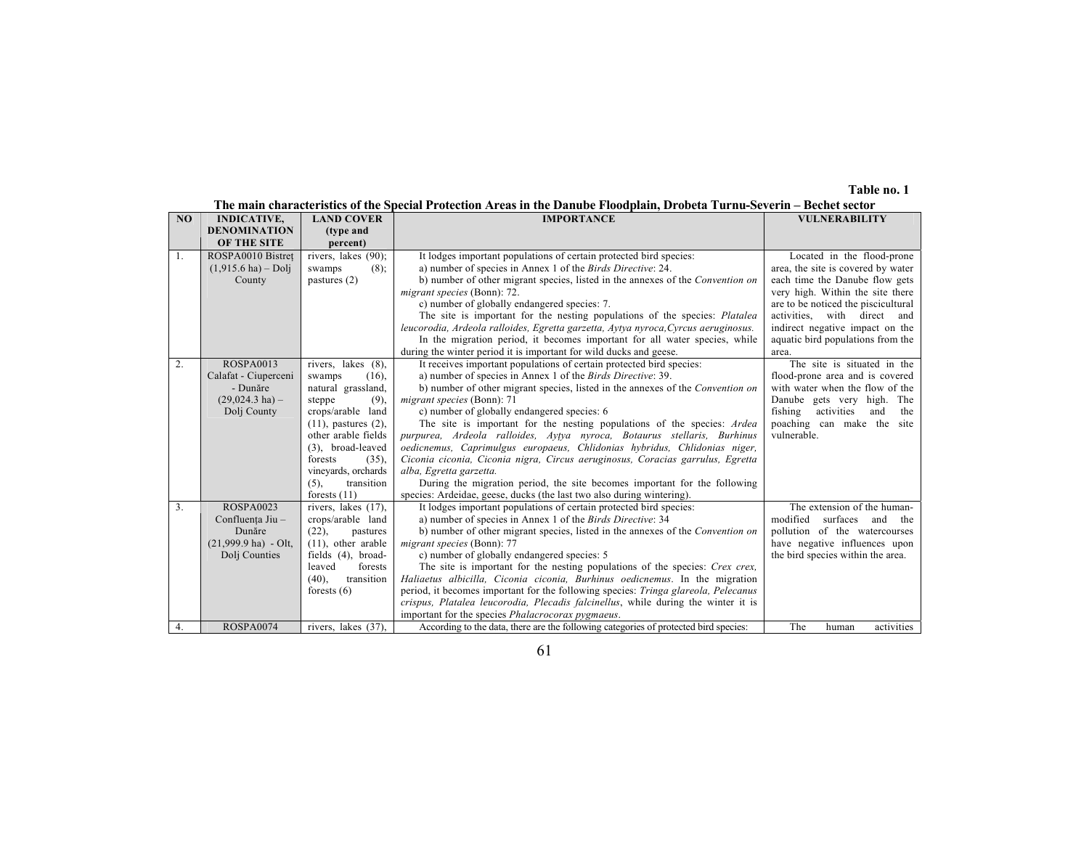#### **Table no. 1**

# **The main characteristics of the Special Protection Areas in the Danube Floodplain, Drobeta Turnu-Severin – Bechet sector**

| NO | <b>INDICATIVE,</b>            | <b>LAND COVER</b>         | <b>IMPORTANCE</b>                                                                     | <b>VULNERABILITY</b>                |
|----|-------------------------------|---------------------------|---------------------------------------------------------------------------------------|-------------------------------------|
|    | <b>DENOMINATION</b>           | (type and                 |                                                                                       |                                     |
|    | OF THE SITE                   | percent)                  |                                                                                       |                                     |
| 1. | ROSPA0010 Bistret             | rivers, lakes (90);       | It lodges important populations of certain protected bird species:                    | Located in the flood-prone          |
|    | $(1,915.6 \text{ ha}) -$ Dolj | $(8)$ :<br>swamps         | a) number of species in Annex 1 of the <i>Birds Directive</i> : 24.                   | area, the site is covered by water  |
|    | County                        | pastures $(2)$            | b) number of other migrant species, listed in the annexes of the <i>Convention</i> on | each time the Danube flow gets      |
|    |                               |                           | migrant species (Bonn): 72.                                                           | very high. Within the site there    |
|    |                               |                           | c) number of globally endangered species: 7.                                          | are to be noticed the piscicultural |
|    |                               |                           | The site is important for the nesting populations of the species: Platalea            | activities, with direct and         |
|    |                               |                           | leucorodia, Ardeola ralloides, Egretta garzetta, Aytya nyroca, Cyrcus aeruginosus.    | indirect negative impact on the     |
|    |                               |                           | In the migration period, it becomes important for all water species, while            | aquatic bird populations from the   |
|    |                               |                           | during the winter period it is important for wild ducks and geese.                    | area.                               |
| 2. | <b>ROSPA0013</b>              | rivers, lakes (8),        | It receives important populations of certain protected bird species:                  | The site is situated in the         |
|    | Calafat - Ciuperceni          | swamps<br>$(16)$ ,        | a) number of species in Annex 1 of the <i>Birds Directive</i> : 39.                   | flood-prone area and is covered     |
|    | - Dunăre                      | natural grassland,        | b) number of other migrant species, listed in the annexes of the Convention on        | with water when the flow of the     |
|    | $(29,024.3)$ ha) -            | steppe<br>(9),            | migrant species (Bonn): 71                                                            | Danube gets very high. The          |
|    | Dolj County                   | crops/arable land         | c) number of globally endangered species: 6                                           | fishing<br>activities<br>and<br>the |
|    |                               | $(11)$ , pastures $(2)$ , | The site is important for the nesting populations of the species: Ardea               | poaching can make the site          |
|    |                               | other arable fields       | purpurea, Ardeola ralloides, Aytya nyroca, Botaurus stellaris, Burhinus               | vulnerable.                         |
|    |                               | (3), broad-leaved         | oedicnemus, Caprimulgus europaeus, Chlidonias hybridus, Chlidonias niger,             |                                     |
|    |                               | forests<br>(35),          | Ciconia ciconia, Ciconia nigra, Circus aeruginosus, Coracias garrulus, Egretta        |                                     |
|    |                               | vineyards, orchards       | alba, Egretta garzetta.                                                               |                                     |
|    |                               | transition<br>$(5)$ ,     | During the migration period, the site becomes important for the following             |                                     |
|    |                               | forests $(11)$            | species: Ardeidae, geese, ducks (the last two also during wintering).                 |                                     |
| 3. | <b>ROSPA0023</b>              | rivers, lakes (17),       | It lodges important populations of certain protected bird species:                    | The extension of the human-         |
|    | Confluența Jiu -              | crops/arable land         | a) number of species in Annex 1 of the Birds Directive: 34                            | surfaces<br>modified<br>and the     |
|    | Dunăre                        | (22),<br>pastures         | b) number of other migrant species, listed in the annexes of the Convention on        | pollution of the watercourses       |
|    | $(21,999.9$ ha) - Olt.        | $(11)$ , other arable     | migrant species (Bonn): 77                                                            | have negative influences upon       |
|    | Dolj Counties                 | fields (4), broad-        | c) number of globally endangered species: 5                                           | the bird species within the area.   |
|    |                               | leaved<br>forests         | The site is important for the nesting populations of the species: Crex crex,          |                                     |
|    |                               | transition<br>$(40)$ .    | Haliaetus albicilla, Ciconia ciconia, Burhinus oedicnemus. In the migration           |                                     |
|    |                               | forests $(6)$             | period, it becomes important for the following species: Tringa glareola, Pelecanus    |                                     |
|    |                               |                           | crispus, Platalea leucorodia, Plecadis falcinellus, while during the winter it is     |                                     |
|    |                               |                           | important for the species <i>Phalacrocorax pygmaeus</i> .                             |                                     |
| 4. | <b>ROSPA0074</b>              | rivers, lakes (37).       | According to the data, there are the following categories of protected bird species:  | The<br>activities<br>human          |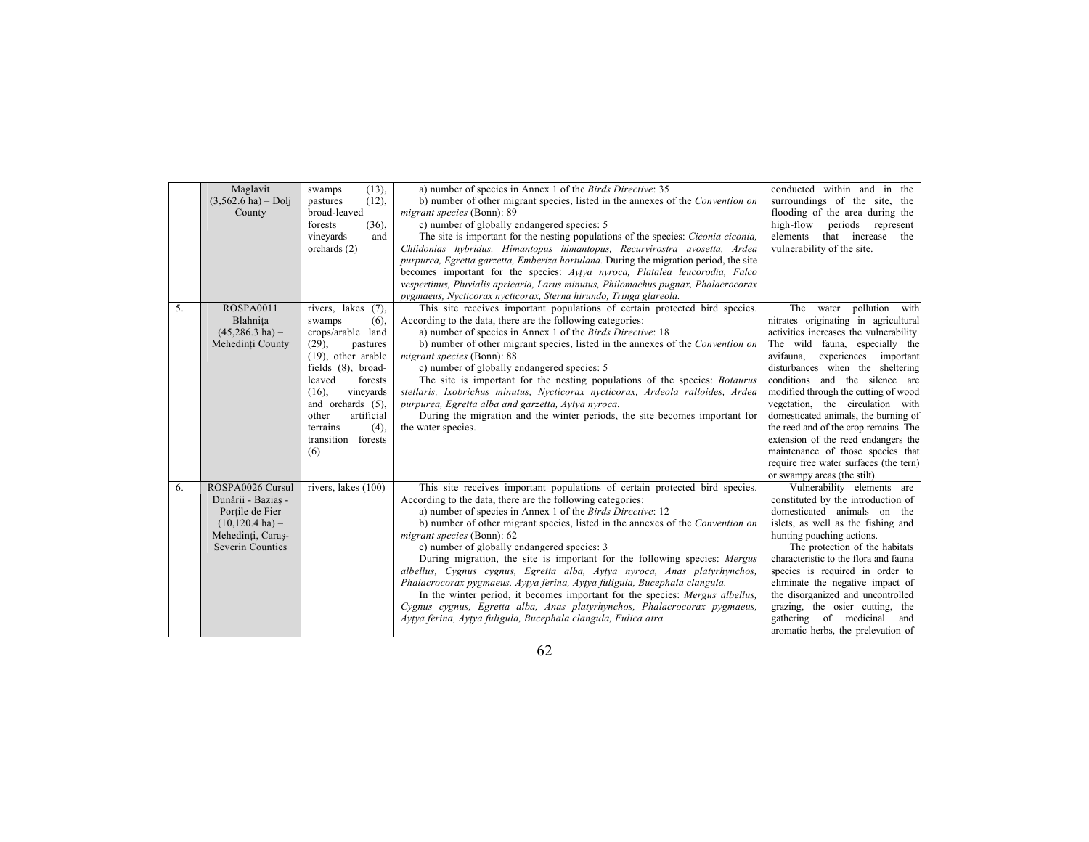|    | Maglavit<br>$(3,562.6 \text{ ha}) - Dolj$<br>County                                                                                     | $(13)$ ,<br>swamps<br>(12),<br>pastures<br>broad-leaved<br>(36),<br>forests<br>vineyards<br>and<br>orchards $(2)$                                                                                                                                                              | a) number of species in Annex 1 of the <i>Birds Directive</i> : 35<br>b) number of other migrant species, listed in the annexes of the Convention on<br>migrant species (Bonn): 89<br>c) number of globally endangered species: 5<br>The site is important for the nesting populations of the species: Ciconia ciconia,<br>Chlidonias hybridus, Himantopus himantopus, Recurvirostra avosetta, Ardea<br>purpurea, Egretta garzetta, Emberiza hortulana. During the migration period, the site<br>becomes important for the species: Aytya nyroca, Platalea leucorodia, Falco<br>vespertinus, Pluvialis apricaria, Larus minutus, Philomachus pugnax, Phalacrocorax<br>pygmaeus, Nycticorax nycticorax, Sterna hirundo, Tringa glareola.                                                                                                    | conducted within and in the<br>surroundings of the site, the<br>flooding of the area during the<br>high-flow<br>periods represent<br>elements<br>that increase<br>the<br>vulnerability of the site.                                                                                                                                                                                                                                                                                                                                                                          |
|----|-----------------------------------------------------------------------------------------------------------------------------------------|--------------------------------------------------------------------------------------------------------------------------------------------------------------------------------------------------------------------------------------------------------------------------------|--------------------------------------------------------------------------------------------------------------------------------------------------------------------------------------------------------------------------------------------------------------------------------------------------------------------------------------------------------------------------------------------------------------------------------------------------------------------------------------------------------------------------------------------------------------------------------------------------------------------------------------------------------------------------------------------------------------------------------------------------------------------------------------------------------------------------------------------|------------------------------------------------------------------------------------------------------------------------------------------------------------------------------------------------------------------------------------------------------------------------------------------------------------------------------------------------------------------------------------------------------------------------------------------------------------------------------------------------------------------------------------------------------------------------------|
| 5. | ROSPA0011<br>Blahnita<br>$(45,286.3 \text{ ha}) -$<br>Mehedinți County                                                                  | rivers, lakes (7),<br>swamps<br>(6),<br>crops/arable land<br>(29),<br>pastures<br>$(19)$ , other arable<br>fields (8), broad-<br>leaved<br>forests<br>$(16)$ ,<br>vineyards<br>and orchards $(5)$ ,<br>other<br>artificial<br>(4),<br>terrains<br>transition<br>forests<br>(6) | This site receives important populations of certain protected bird species.<br>According to the data, there are the following categories:<br>a) number of species in Annex 1 of the <i>Birds Directive</i> : 18<br>b) number of other migrant species, listed in the annexes of the Convention on<br>migrant species (Bonn): 88<br>c) number of globally endangered species: 5<br>The site is important for the nesting populations of the species: <i>Botaurus</i><br>stellaris, Ixobrichus minutus, Nycticorax nycticorax, Ardeola ralloides, Ardea<br>purpurea, Egretta alba and garzetta, Aytya nyroca.<br>During the migration and the winter periods, the site becomes important for<br>the water species.                                                                                                                           | The water pollution with<br>nitrates originating in agricultural<br>activities increases the vulnerability.<br>The wild fauna, especially the<br>experiences important<br>avifauna.<br>disturbances when the sheltering<br>conditions and the silence are<br>modified through the cutting of wood<br>vegetation, the circulation with<br>domesticated animals, the burning of<br>the reed and of the crop remains. The<br>extension of the reed endangers the<br>maintenance of those species that<br>require free water surfaces (the tern)<br>or swampy areas (the stilt). |
| 6. | ROSPA0026 Cursul<br>Dunării - Bazias -<br>Portile de Fier<br>$(10, 120.4 \text{ ha}) -$<br>Mehedinti, Caras-<br><b>Severin Counties</b> | rivers, lakes (100)                                                                                                                                                                                                                                                            | This site receives important populations of certain protected bird species.<br>According to the data, there are the following categories:<br>a) number of species in Annex 1 of the Birds Directive: 12<br>b) number of other migrant species, listed in the annexes of the Convention on<br>migrant species (Bonn): 62<br>c) number of globally endangered species: 3<br>During migration, the site is important for the following species: Mergus<br>albellus, Cygnus cygnus, Egretta alba, Aytya nyroca, Anas platyrhynchos,<br>Phalacrocorax pygmaeus, Aytya ferina, Aytya fuligula, Bucephala clangula.<br>In the winter period, it becomes important for the species: Mergus albellus,<br>Cygnus cygnus, Egretta alba, Anas platyrhynchos, Phalacrocorax pygmaeus,<br>Aytya ferina, Aytya fuligula, Bucephala clangula, Fulica atra. | Vulnerability elements are<br>constituted by the introduction of<br>domesticated animals on the<br>islets, as well as the fishing and<br>hunting poaching actions.<br>The protection of the habitats<br>characteristic to the flora and fauna<br>species is required in order to<br>eliminate the negative impact of<br>the disorganized and uncontrolled<br>grazing, the osier cutting, the<br>gathering of medicinal<br>and<br>aromatic herbs, the prelevation of                                                                                                          |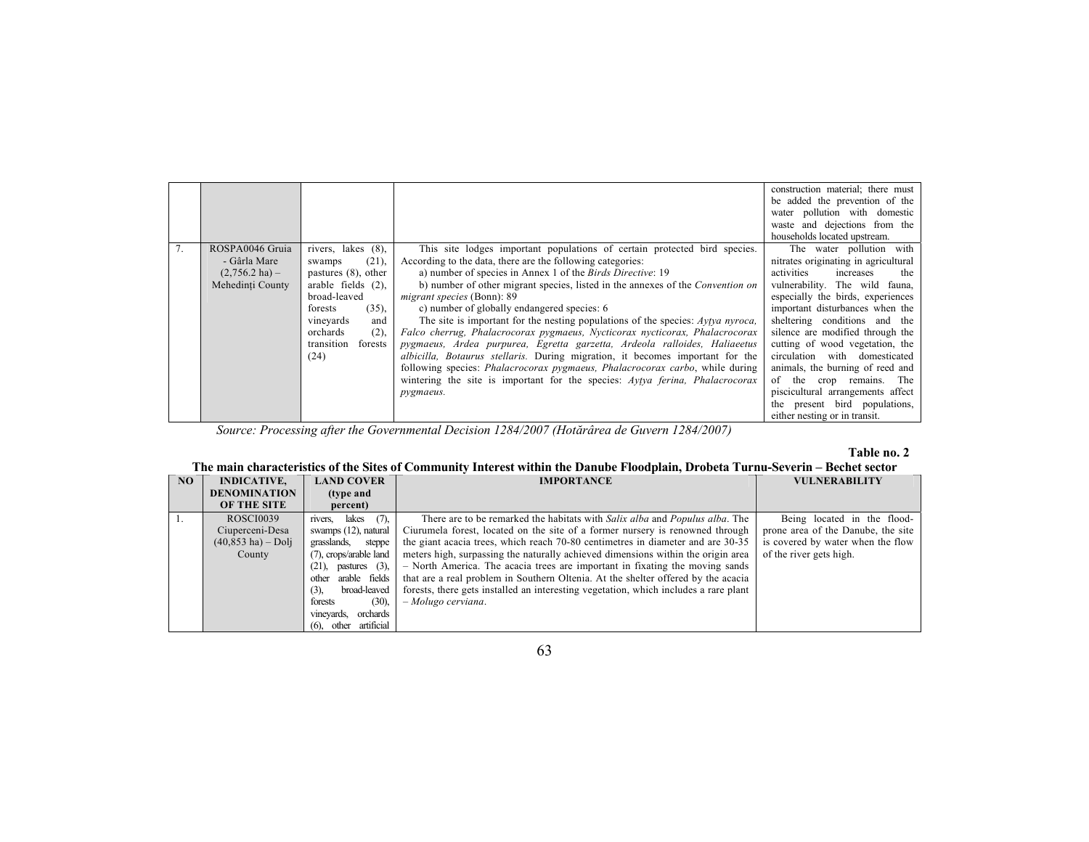|    |                          |                        |                                                                                      | construction material; there must<br>be added the prevention of the |
|----|--------------------------|------------------------|--------------------------------------------------------------------------------------|---------------------------------------------------------------------|
|    |                          |                        |                                                                                      | water pollution with domestic                                       |
|    |                          |                        |                                                                                      | waste and dejections from the                                       |
|    |                          |                        |                                                                                      | households located upstream.                                        |
| 7. | ROSPA0046 Gruia          | rivers, lakes (8),     | This site lodges important populations of certain protected bird species.            | The water pollution with                                            |
|    | - Gârla Mare             | (21),<br>swamps        | According to the data, there are the following categories:                           | nitrates originating in agricultural                                |
|    | $(2,756.2 \text{ ha}) -$ | pastures $(8)$ , other | a) number of species in Annex 1 of the <i>Birds Directive</i> : 19                   | activities<br>increases<br>the                                      |
|    | Mehedinți County         | arable fields (2),     | b) number of other migrant species, listed in the annexes of the Convention on       | vulnerability. The wild fauna,                                      |
|    |                          | broad-leaved           | migrant species (Bonn): 89                                                           | especially the birds, experiences                                   |
|    |                          | (35),<br>forests       | c) number of globally endangered species: 6                                          | important disturbances when the                                     |
|    |                          | vineyards<br>and       | The site is important for the nesting populations of the species: $Ayfya nyroca$ ,   | sheltering conditions and the                                       |
|    |                          | orchards<br>(2),       | Falco cherrug, Phalacrocorax pygmaeus, Nycticorax nycticorax, Phalacrocorax          | silence are modified through the                                    |
|    |                          | transition<br>forests  | pygmaeus, Ardea purpurea, Egretta garzetta, Ardeola ralloides, Haliaeetus            | cutting of wood vegetation, the                                     |
|    |                          | (24)                   | <i>albicilla, Botaurus stellaris.</i> During migration, it becomes important for the | circulation with domesticated                                       |
|    |                          |                        | following species: Phalacrocorax pygmaeus, Phalacrocorax carbo, while during         | animals, the burning of reed and                                    |
|    |                          |                        | wintering the site is important for the species: Aytya ferina, Phalacrocorax         | of the<br>remains. The<br>crop                                      |
|    |                          |                        | pygmaeus.                                                                            | piscicultural arrangements affect                                   |
|    |                          |                        |                                                                                      | the present bird populations,                                       |
|    |                          |                        |                                                                                      | either nesting or in transit.                                       |

*Source: Processing after the Governmental Decision 1284/2007 (Hotărârea de Guvern 1284/2007)* 

### **Table no. 2**

# **The main characteristics of the Sites of Community Interest within the Danube Floodplain, Drobeta Turnu-Severin – Bechet sector**

| NO. | <b>INDICATIVE,</b>                   | <b>LAND COVER</b>              | <b>IMPORTANCE</b>                                                                    | <b>VULNERABILITY</b>               |
|-----|--------------------------------------|--------------------------------|--------------------------------------------------------------------------------------|------------------------------------|
|     | <b>DENOMINATION</b>                  | (type and                      |                                                                                      |                                    |
|     | OF THE SITE                          | percent)                       |                                                                                      |                                    |
|     | <b>ROSCI0039</b>                     | (7)<br>rivers, lakes           | There are to be remarked the habitats with Salix alba and Populus alba. The          | Being located in the flood-        |
|     | Ciuperceni-Desa                      | swamps (12), natural           | Ciurumela forest, located on the site of a former nursery is renowned through        | prone area of the Danube, the site |
|     | $(40, 853 \text{ ha}) - \text{Doli}$ | grasslands, steppe             | the giant acacia trees, which reach 70-80 centimetres in diameter and are 30-35      | is covered by water when the flow  |
|     | County                               | (7), crops/arable land         | meters high, surpassing the naturally achieved dimensions within the origin area     | of the river gets high.            |
|     |                                      | $(21)$ , pastures $(3)$ ,      | - North America. The acacia trees are important in fixating the moving sands         |                                    |
|     |                                      | arable fields<br>other         | that are a real problem in Southern Oltenia. At the shelter offered by the acacia    |                                    |
|     |                                      | broad-leaved<br>(3)            | forests, there gets installed an interesting vegetation, which includes a rare plant |                                    |
|     |                                      | $(30)$ ,<br>forests            | $-Molugo$ cerviana.                                                                  |                                    |
|     |                                      | orchards<br>vineyards.         |                                                                                      |                                    |
|     |                                      | artificial<br>other<br>$(6)$ . |                                                                                      |                                    |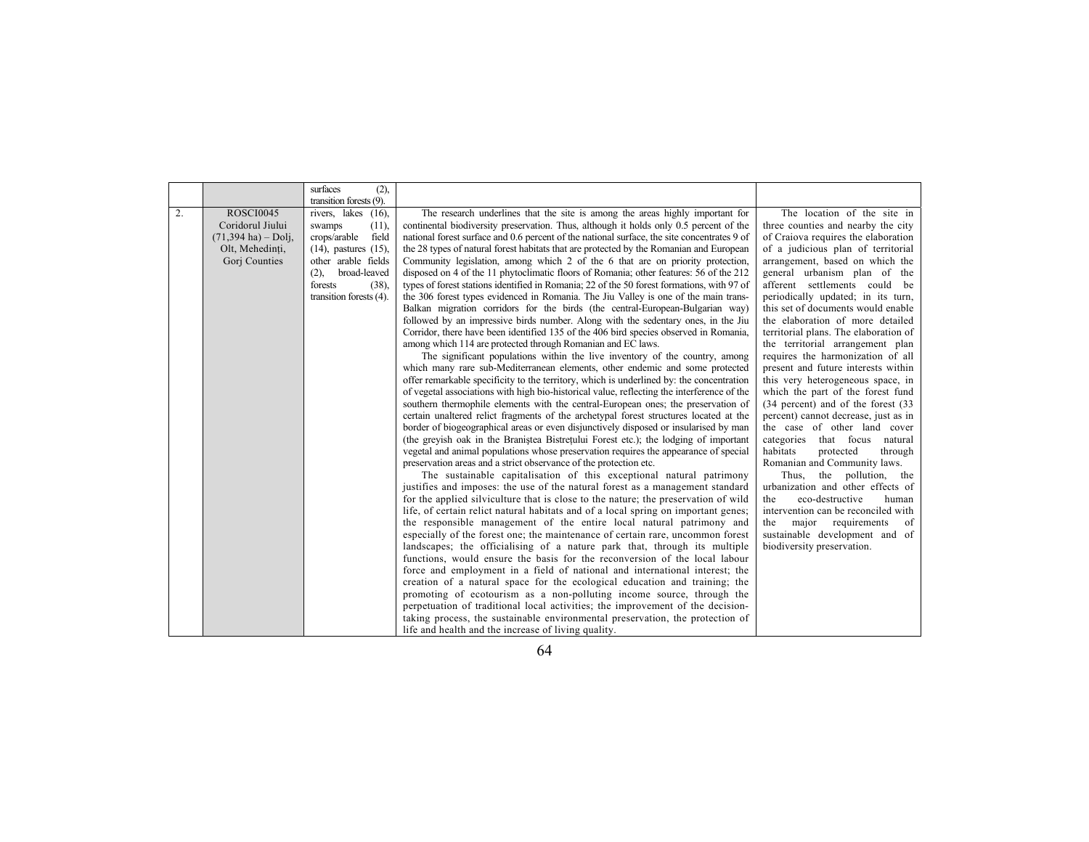|                  |                                                                                                           | surfaces<br>(2),                                                                                                                                                                                                          |                                                                                                                                                                                                                                                                                                                                                                                                                                                                                                                                                                                                                                                                                                                                                                                                                                                                                                                                                                                                                                                                                                                                 |                                                                                                                                                                                                                                                                                                                                                                                                                                                                           |
|------------------|-----------------------------------------------------------------------------------------------------------|---------------------------------------------------------------------------------------------------------------------------------------------------------------------------------------------------------------------------|---------------------------------------------------------------------------------------------------------------------------------------------------------------------------------------------------------------------------------------------------------------------------------------------------------------------------------------------------------------------------------------------------------------------------------------------------------------------------------------------------------------------------------------------------------------------------------------------------------------------------------------------------------------------------------------------------------------------------------------------------------------------------------------------------------------------------------------------------------------------------------------------------------------------------------------------------------------------------------------------------------------------------------------------------------------------------------------------------------------------------------|---------------------------------------------------------------------------------------------------------------------------------------------------------------------------------------------------------------------------------------------------------------------------------------------------------------------------------------------------------------------------------------------------------------------------------------------------------------------------|
| $\overline{2}$ . | <b>ROSCI0045</b><br>Coridorul Jiului<br>$(71,394 \text{ ha}) -$ Dolj,<br>Olt, Mehedinti,<br>Gorj Counties | transition forests (9).<br>rivers, lakes (16),<br>(11),<br>swamps<br>field<br>crops/arable<br>$(14)$ , pastures $(15)$ ,<br>other arable fields<br>broad-leaved<br>(2),<br>forests<br>$(38)$ ,<br>transition forests (4). | The research underlines that the site is among the areas highly important for<br>continental biodiversity preservation. Thus, although it holds only 0.5 percent of the<br>national forest surface and 0.6 percent of the national surface, the site concentrates 9 of<br>the 28 types of natural forest habitats that are protected by the Romanian and European<br>Community legislation, among which 2 of the 6 that are on priority protection,<br>disposed on 4 of the 11 phytoclimatic floors of Romania; other features: 56 of the 212<br>types of forest stations identified in Romania; 22 of the 50 forest formations, with 97 of<br>the 306 forest types evidenced in Romania. The Jiu Valley is one of the main trans-<br>Balkan migration corridors for the birds (the central-European-Bulgarian way)<br>followed by an impressive birds number. Along with the sedentary ones, in the Jiu<br>Corridor, there have been identified 135 of the 406 bird species observed in Romania,<br>among which 114 are protected through Romanian and EC laws.                                                                | The location of the site in<br>three counties and nearby the city<br>of Craiova requires the elaboration<br>of a judicious plan of territorial<br>arrangement, based on which the<br>general urbanism plan of the<br>afferent settlements could be<br>periodically updated; in its turn,<br>this set of documents would enable<br>the elaboration of more detailed<br>territorial plans. The elaboration of<br>the territorial arrangement plan                           |
|                  |                                                                                                           |                                                                                                                                                                                                                           | The significant populations within the live inventory of the country, among<br>which many rare sub-Mediterranean elements, other endemic and some protected<br>offer remarkable specificity to the territory, which is underlined by: the concentration<br>of vegetal associations with high bio-historical value, reflecting the interference of the<br>southern thermophile elements with the central-European ones; the preservation of<br>certain unaltered relict fragments of the archetypal forest structures located at the<br>border of biogeographical areas or even disjunctively disposed or insularised by man<br>(the greyish oak in the Branistea Bistretului Forest etc.); the lodging of important<br>vegetal and animal populations whose preservation requires the appearance of special<br>preservation areas and a strict observance of the protection etc.<br>The sustainable capitalisation of this exceptional natural patrimony<br>justifies and imposes: the use of the natural forest as a management standard<br>for the applied silviculture that is close to the nature; the preservation of wild | requires the harmonization of all<br>present and future interests within<br>this very heterogeneous space, in<br>which the part of the forest fund<br>(34 percent) and of the forest (33<br>percent) cannot decrease, just as in<br>the case of other land cover<br>categories that focus natural<br>habitats<br>protected<br>through<br>Romanian and Community laws.<br>Thus, the pollution, the<br>urbanization and other effects of<br>eco-destructive<br>the<br>human |
|                  |                                                                                                           |                                                                                                                                                                                                                           | life, of certain relict natural habitats and of a local spring on important genes;<br>the responsible management of the entire local natural patrimony and<br>especially of the forest one; the maintenance of certain rare, uncommon forest<br>landscapes; the officialising of a nature park that, through its multiple<br>functions, would ensure the basis for the reconversion of the local labour<br>force and employment in a field of national and international interest; the<br>creation of a natural space for the ecological education and training; the<br>promoting of ecotourism as a non-polluting income source, through the<br>perpetuation of traditional local activities; the improvement of the decision-<br>taking process, the sustainable environmental preservation, the protection of<br>life and health and the increase of living quality.                                                                                                                                                                                                                                                         | intervention can be reconciled with<br>major requirements<br>the<br>- of<br>sustainable development and of<br>biodiversity preservation.                                                                                                                                                                                                                                                                                                                                  |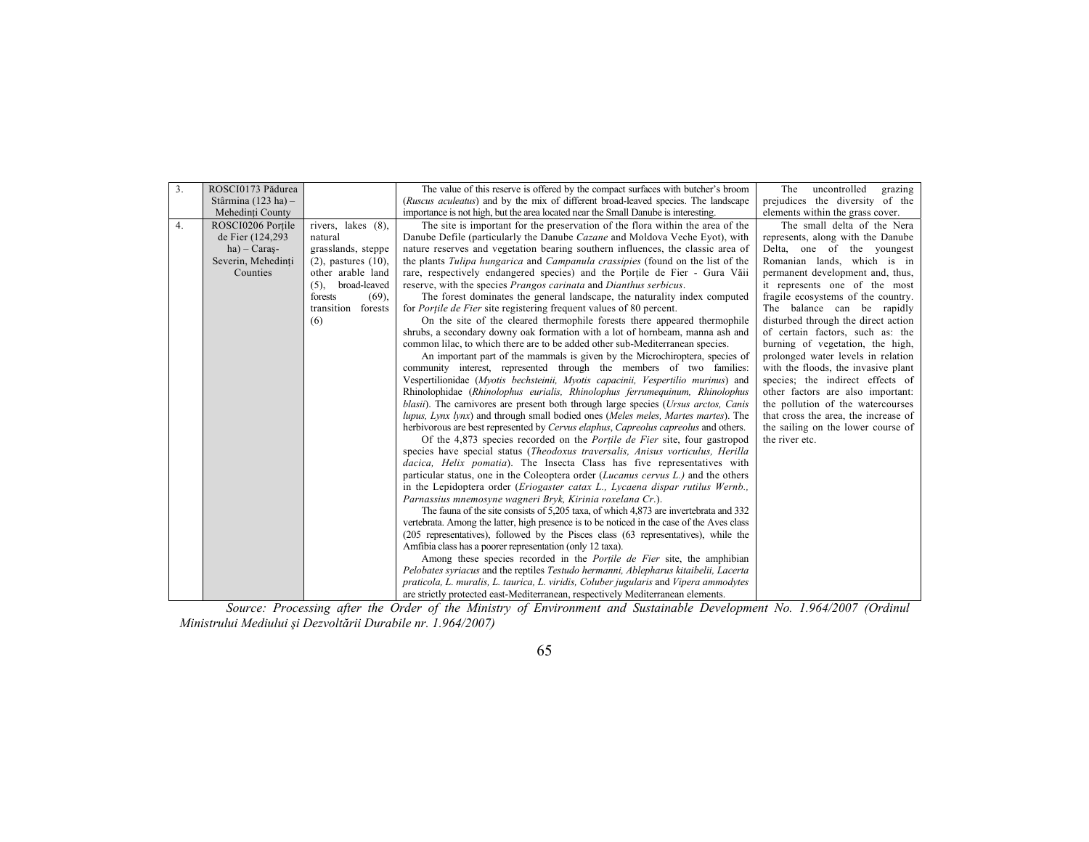|                                                                                                                                                 | uncontrolled                         |
|-------------------------------------------------------------------------------------------------------------------------------------------------|--------------------------------------|
| 3.<br>ROSCI0173 Pădurea<br>The value of this reserve is offered by the compact surfaces with butcher's broom<br>The                             | grazing                              |
| Stârmina (123 ha) $-$<br>(Ruscus aculeatus) and by the mix of different broad-leaved species. The landscape                                     | prejudices the diversity of the      |
| importance is not high, but the area located near the Small Danube is interesting.<br>Mehedinți County                                          | elements within the grass cover.     |
| ROSCI0206 Portile<br>rivers, lakes (8),<br>The site is important for the preservation of the flora within the area of the<br>4.                 | The small delta of the Nera          |
| de Fier (124,293)<br>Danube Defile (particularly the Danube Cazane and Moldova Veche Eyot), with<br>natural                                     | represents, along with the Danube    |
| $ha)$ – Caras-<br>grasslands, steppe<br>nature reserves and vegetation bearing southern influences, the classic area of                         | Delta, one of the youngest           |
| the plants <i>Tulipa hungarica</i> and <i>Campanula crassipies</i> (found on the list of the<br>Severin, Mehedinți<br>$(2)$ , pastures $(10)$ , | Romanian lands, which is in          |
| other arable land<br>rare, respectively endangered species) and the Portile de Fier - Gura Văii<br>Counties                                     | permanent development and, thus,     |
| $(5)$ , broad-leaved<br>reserve, with the species Prangos carinata and Dianthus serbicus.                                                       | it represents one of the most        |
| The forest dominates the general landscape, the naturality index computed<br>forests<br>$(69)$ ,                                                | fragile ecosystems of the country.   |
| transition<br>forests<br>for <i>Portile de Fier</i> site registering frequent values of 80 percent.                                             | The balance can be rapidly           |
| On the site of the cleared thermophile forests there appeared thermophile<br>(6)                                                                | disturbed through the direct action  |
| shrubs, a secondary downy oak formation with a lot of hornbeam, manna ash and                                                                   | of certain factors, such as: the     |
| common lilac, to which there are to be added other sub-Mediterranean species.                                                                   | burning of vegetation, the high,     |
| An important part of the mammals is given by the Microchiroptera, species of                                                                    | prolonged water levels in relation   |
| community interest, represented through the members of two families:                                                                            | with the floods, the invasive plant  |
| Vespertilionidae (Myotis bechsteinii, Myotis capacinii, Vespertilio murinus) and                                                                | species; the indirect effects of     |
| Rhinolophidae (Rhinolophus eurialis, Rhinolophus ferrumequinum, Rhinolophus                                                                     | other factors are also important:    |
| <i>blasii</i> ). The carnivores are present both through large species ( <i>Ursus arctos</i> , <i>Canis</i>                                     | the pollution of the watercourses    |
| lupus, Lynx lynx) and through small bodied ones (Meles meles, Martes martes). The                                                               | that cross the area, the increase of |
| herbivorous are best represented by <i>Cervus elaphus</i> , <i>Capreolus capreolus</i> and others.                                              | the sailing on the lower course of   |
| Of the 4,873 species recorded on the <i>Portile de Fier</i> site, four gastropod<br>the river etc.                                              |                                      |
| species have special status (Theodoxus traversalis, Anisus vorticulus, Herilla                                                                  |                                      |
| dacica, Helix pomatia). The Insecta Class has five representatives with                                                                         |                                      |
| particular status, one in the Coleoptera order ( <i>Lucanus cervus L.</i> ) and the others                                                      |                                      |
| in the Lepidoptera order ( <i>Eriogaster catax L.</i> , <i>Lycaena dispar rutilus Wernb.</i> ,                                                  |                                      |
| Parnassius mnemosyne wagneri Bryk, Kirinia roxelana Cr.).                                                                                       |                                      |
| The fauna of the site consists of 5,205 taxa, of which 4,873 are invertebrata and 332                                                           |                                      |
| vertebrata. Among the latter, high presence is to be noticed in the case of the Aves class                                                      |                                      |
| (205 representatives), followed by the Pisces class (63 representatives), while the                                                             |                                      |
| Amfibia class has a poorer representation (only 12 taxa).                                                                                       |                                      |
| Among these species recorded in the <i>Portile de Fier</i> site, the amphibian                                                                  |                                      |
| Pelobates syriacus and the reptiles Testudo hermanni, Ablepharus kitaibelii, Lacerta                                                            |                                      |
| praticola, L. muralis, L. taurica, L. viridis, Coluber jugularis and Vipera ammodytes                                                           |                                      |
| are strictly protected east-Mediterranean, respectively Mediterranean elements.                                                                 |                                      |

*Source: Processing after the Order of the Ministry of Environment and Sustainable Development No. 1.964/2007 (Ordinul Ministrului Mediului şi Dezvoltării Durabile nr. 1.964/2007)*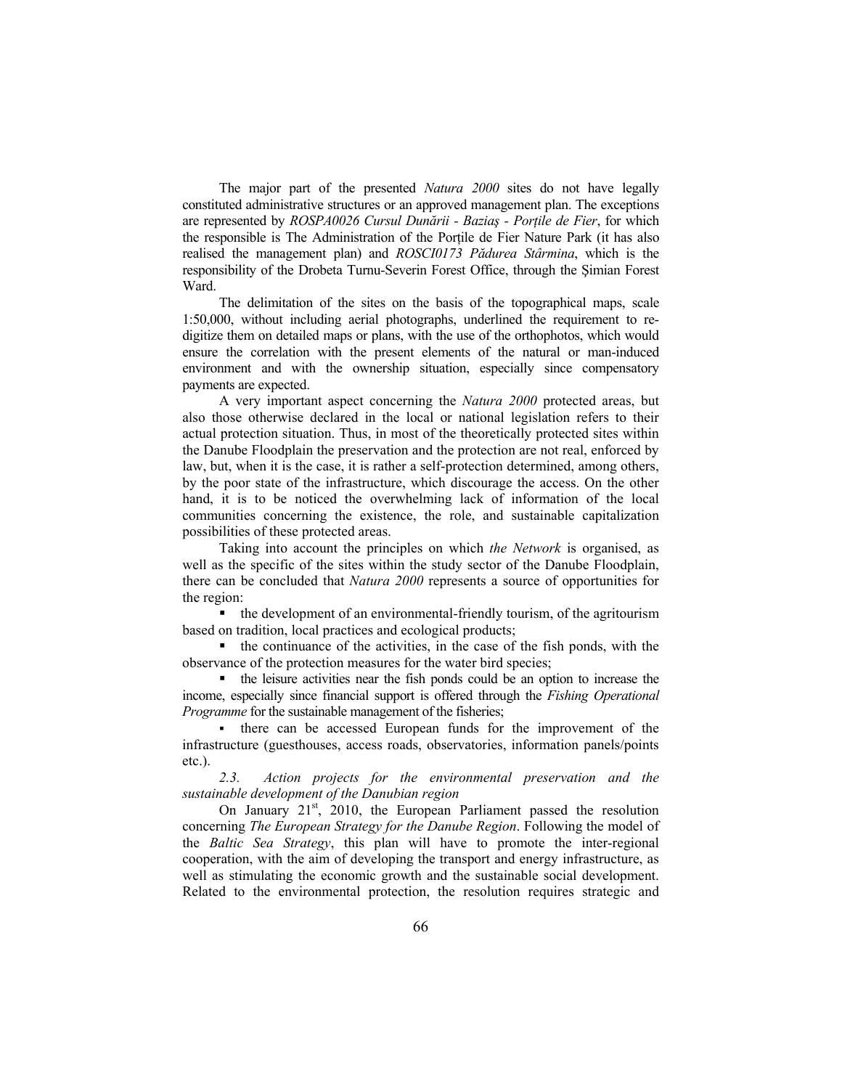The major part of the presented *Natura 2000* sites do not have legally constituted administrative structures or an approved management plan. The exceptions are represented by *ROSPA0026 Cursul Dunării - Baziaş - Porţile de Fier*, for which the responsible is The Administration of the Porţile de Fier Nature Park (it has also realised the management plan) and *ROSCI0173 Pădurea Stârmina*, which is the responsibility of the Drobeta Turnu-Severin Forest Office, through the Şimian Forest Ward.

The delimitation of the sites on the basis of the topographical maps, scale 1:50,000, without including aerial photographs, underlined the requirement to redigitize them on detailed maps or plans, with the use of the orthophotos, which would ensure the correlation with the present elements of the natural or man-induced environment and with the ownership situation, especially since compensatory payments are expected.

A very important aspect concerning the *Natura 2000* protected areas, but also those otherwise declared in the local or national legislation refers to their actual protection situation. Thus, in most of the theoretically protected sites within the Danube Floodplain the preservation and the protection are not real, enforced by law, but, when it is the case, it is rather a self-protection determined, among others, by the poor state of the infrastructure, which discourage the access. On the other hand, it is to be noticed the overwhelming lack of information of the local communities concerning the existence, the role, and sustainable capitalization possibilities of these protected areas.

Taking into account the principles on which *the Network* is organised, as well as the specific of the sites within the study sector of the Danube Floodplain, there can be concluded that *Natura 2000* represents a source of opportunities for the region:

 the development of an environmental-friendly tourism, of the agritourism based on tradition, local practices and ecological products;

 $\blacksquare$  the continuance of the activities, in the case of the fish ponds, with the observance of the protection measures for the water bird species;

 the leisure activities near the fish ponds could be an option to increase the income, especially since financial support is offered through the *Fishing Operational Programme* for the sustainable management of the fisheries;

 there can be accessed European funds for the improvement of the infrastructure (guesthouses, access roads, observatories, information panels/points etc.).

*2.3. Action projects for the environmental preservation and the sustainable development of the Danubian region* 

On January  $21<sup>st</sup>$ ,  $2010$ , the European Parliament passed the resolution concerning *The European Strategy for the Danube Region*. Following the model of the *Baltic Sea Strategy*, this plan will have to promote the inter-regional cooperation, with the aim of developing the transport and energy infrastructure, as well as stimulating the economic growth and the sustainable social development. Related to the environmental protection, the resolution requires strategic and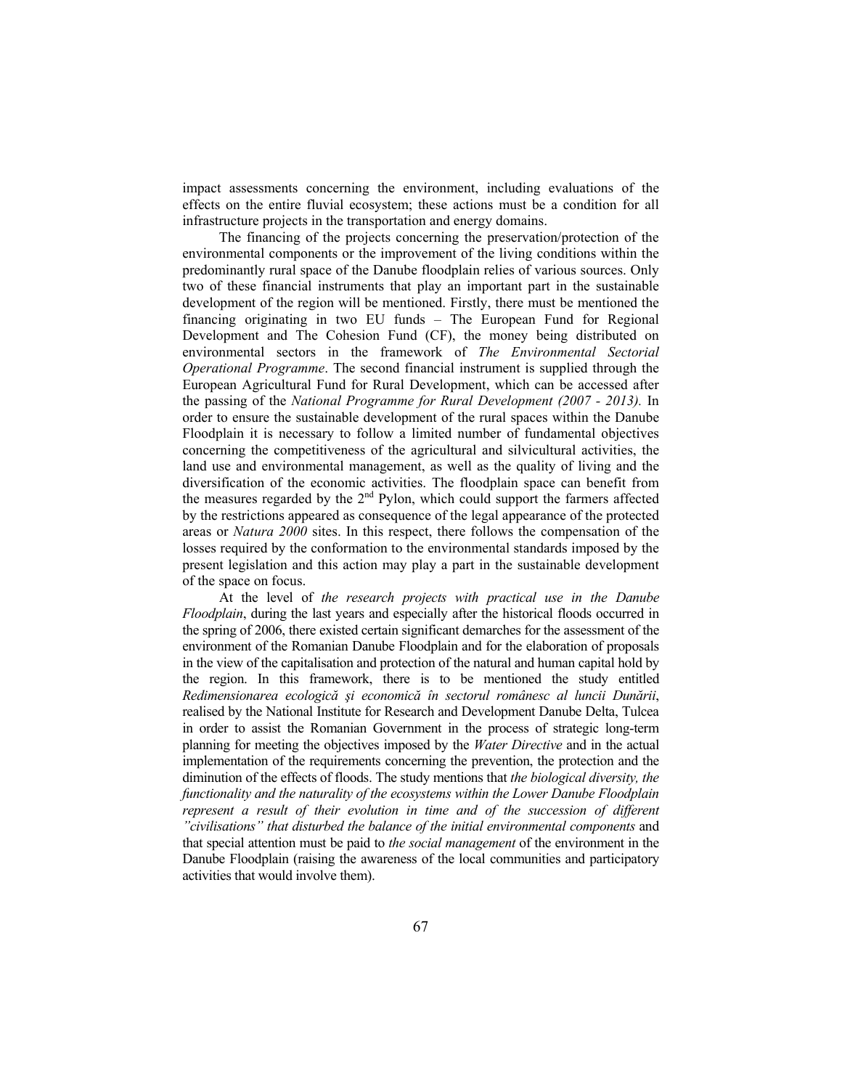impact assessments concerning the environment, including evaluations of the effects on the entire fluvial ecosystem; these actions must be a condition for all infrastructure projects in the transportation and energy domains.

The financing of the projects concerning the preservation/protection of the environmental components or the improvement of the living conditions within the predominantly rural space of the Danube floodplain relies of various sources. Only two of these financial instruments that play an important part in the sustainable development of the region will be mentioned. Firstly, there must be mentioned the financing originating in two EU funds – The European Fund for Regional Development and The Cohesion Fund (CF), the money being distributed on environmental sectors in the framework of *The Environmental Sectorial Operational Programme*. The second financial instrument is supplied through the European Agricultural Fund for Rural Development, which can be accessed after the passing of the *National Programme for Rural Development (2007 - 2013).* In order to ensure the sustainable development of the rural spaces within the Danube Floodplain it is necessary to follow a limited number of fundamental objectives concerning the competitiveness of the agricultural and silvicultural activities, the land use and environmental management, as well as the quality of living and the diversification of the economic activities. The floodplain space can benefit from the measures regarded by the  $2<sup>nd</sup>$  Pylon, which could support the farmers affected by the restrictions appeared as consequence of the legal appearance of the protected areas or *Natura 2000* sites. In this respect, there follows the compensation of the losses required by the conformation to the environmental standards imposed by the present legislation and this action may play a part in the sustainable development of the space on focus.

At the level of *the research projects with practical use in the Danube Floodplain*, during the last years and especially after the historical floods occurred in the spring of 2006, there existed certain significant demarches for the assessment of the environment of the Romanian Danube Floodplain and for the elaboration of proposals in the view of the capitalisation and protection of the natural and human capital hold by the region. In this framework, there is to be mentioned the study entitled *Redimensionarea ecologică şi economică în sectorul românesc al luncii Dunării*, realised by the National Institute for Research and Development Danube Delta, Tulcea in order to assist the Romanian Government in the process of strategic long-term planning for meeting the objectives imposed by the *Water Directive* and in the actual implementation of the requirements concerning the prevention, the protection and the diminution of the effects of floods. The study mentions that *the biological diversity, the functionality and the naturality of the ecosystems within the Lower Danube Floodplain represent a result of their evolution in time and of the succession of different "civilisations" that disturbed the balance of the initial environmental components* and that special attention must be paid to *the social management* of the environment in the Danube Floodplain (raising the awareness of the local communities and participatory activities that would involve them).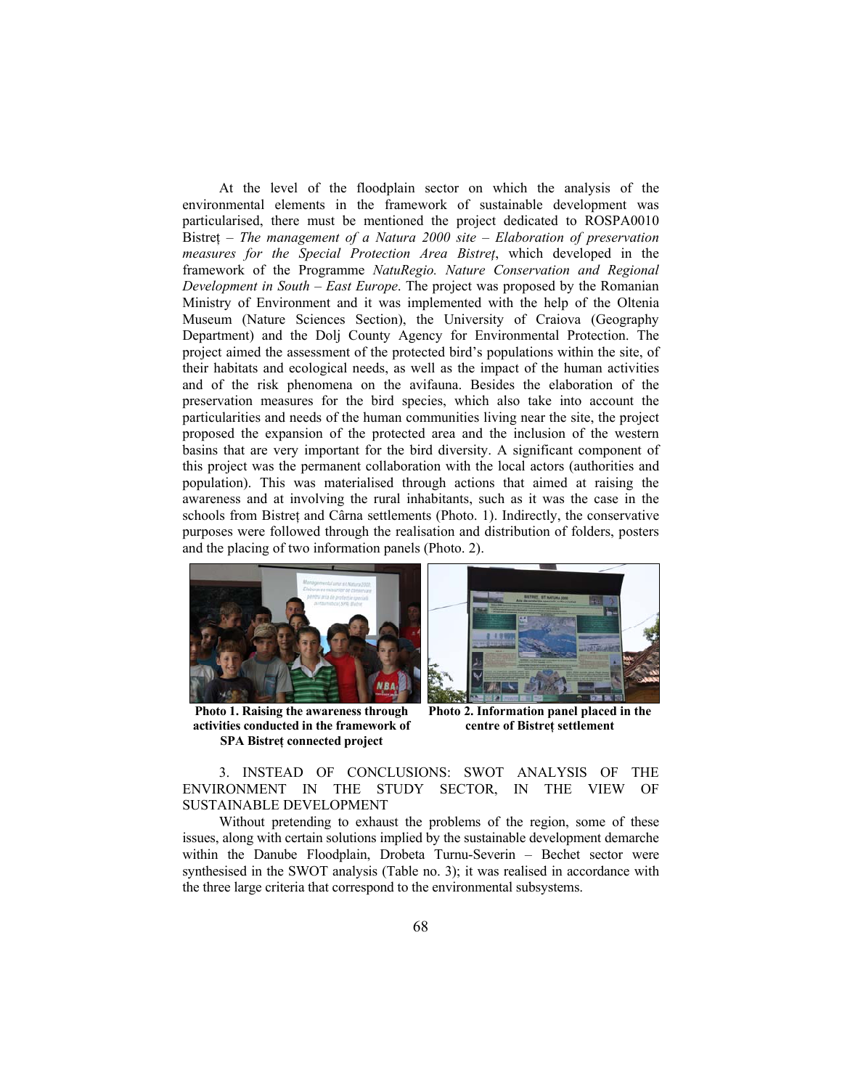At the level of the floodplain sector on which the analysis of the environmental elements in the framework of sustainable development was particularised, there must be mentioned the project dedicated to ROSPA0010 Bistreţ – *The management of a Natura 2000 site – Elaboration of preservation measures for the Special Protection Area Bistreţ*, which developed in the framework of the Programme *NatuRegio. Nature Conservation and Regional Development in South – East Europe*. The project was proposed by the Romanian Ministry of Environment and it was implemented with the help of the Oltenia Museum (Nature Sciences Section), the University of Craiova (Geography Department) and the Dolj County Agency for Environmental Protection. The project aimed the assessment of the protected bird's populations within the site, of their habitats and ecological needs, as well as the impact of the human activities and of the risk phenomena on the avifauna. Besides the elaboration of the preservation measures for the bird species, which also take into account the particularities and needs of the human communities living near the site, the project proposed the expansion of the protected area and the inclusion of the western basins that are very important for the bird diversity. A significant component of this project was the permanent collaboration with the local actors (authorities and population). This was materialised through actions that aimed at raising the awareness and at involving the rural inhabitants, such as it was the case in the schools from Bistret and Cârna settlements (Photo. 1). Indirectly, the conservative purposes were followed through the realisation and distribution of folders, posters and the placing of two information panels (Photo. 2).



**Photo 1. Raising the awareness through activities conducted in the framework of SPA Bistreţ connected project**



**Photo 2. Information panel placed in the centre of Bistreţ settlement** 

3. INSTEAD OF CONCLUSIONS: SWOT ANALYSIS OF THE ENVIRONMENT IN THE STUDY SECTOR, IN THE VIEW OF SUSTAINABLE DEVELOPMENT

Without pretending to exhaust the problems of the region, some of these issues, along with certain solutions implied by the sustainable development demarche within the Danube Floodplain, Drobeta Turnu-Severin – Bechet sector were synthesised in the SWOT analysis (Table no. 3); it was realised in accordance with the three large criteria that correspond to the environmental subsystems.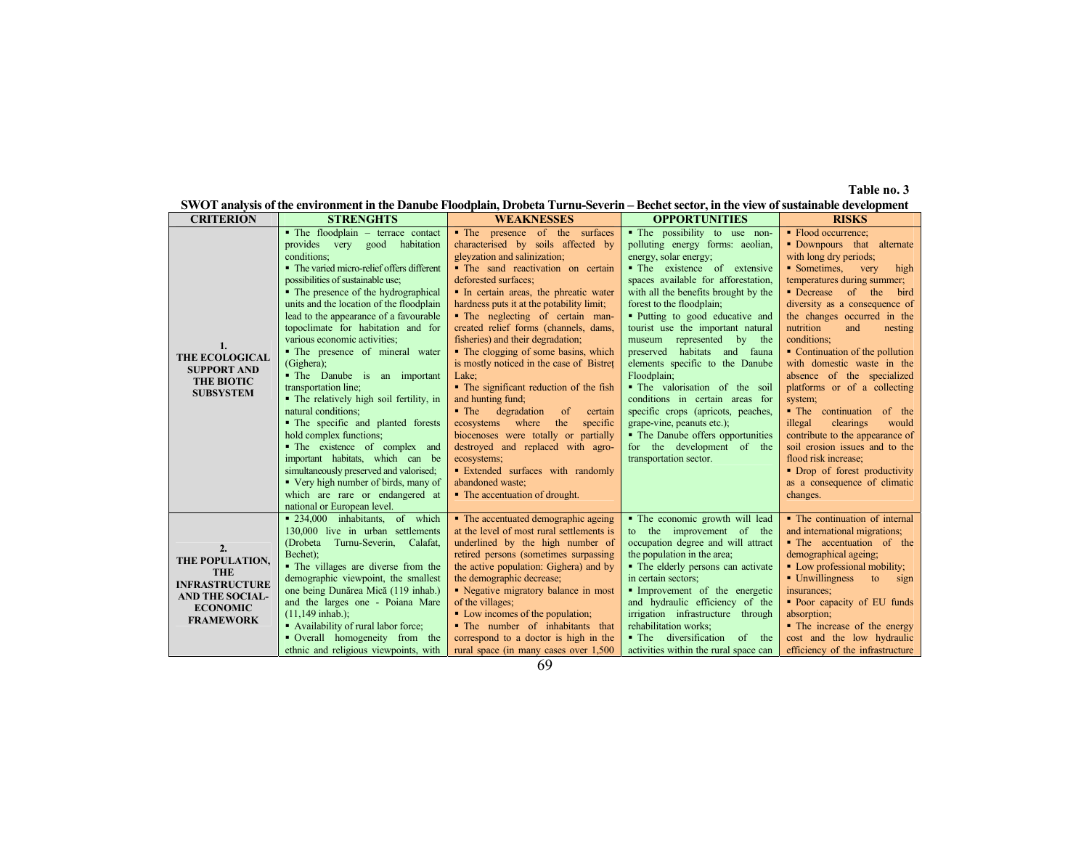**Table no. 3** 

|  |  |  |  |  |  | SWOT analysis of the environment in the Danube Floodplain. Drobeta Turnu-Severin – Bechet sector, in the view of sustainable development |  |  |  |
|--|--|--|--|--|--|------------------------------------------------------------------------------------------------------------------------------------------|--|--|--|
|  |  |  |  |  |  |                                                                                                                                          |  |  |  |

| <b>CRITERION</b>                                                                                                              | <b>STRENGHTS</b>                                                                                                                                                                                                                                                                                                                                                                                                                                                                                                                                                                                                                                                                                                                                                                                                                                  | <b>WEAKNESSES</b>                                                                                                                                                                                                                                                                                                                                                                                                                                                                                                                                                                                                                                                                                                                                                                                                                            | <b>OPPORTUNITIES</b>                                                                                                                                                                                                                                                                                                                                                                                                                                                                                                                                                                                                                                                | <b>RISKS</b>                                                                                                                                                                                                                                                                                                                                                                                                                                                                                                                                                                                                                                                         |
|-------------------------------------------------------------------------------------------------------------------------------|---------------------------------------------------------------------------------------------------------------------------------------------------------------------------------------------------------------------------------------------------------------------------------------------------------------------------------------------------------------------------------------------------------------------------------------------------------------------------------------------------------------------------------------------------------------------------------------------------------------------------------------------------------------------------------------------------------------------------------------------------------------------------------------------------------------------------------------------------|----------------------------------------------------------------------------------------------------------------------------------------------------------------------------------------------------------------------------------------------------------------------------------------------------------------------------------------------------------------------------------------------------------------------------------------------------------------------------------------------------------------------------------------------------------------------------------------------------------------------------------------------------------------------------------------------------------------------------------------------------------------------------------------------------------------------------------------------|---------------------------------------------------------------------------------------------------------------------------------------------------------------------------------------------------------------------------------------------------------------------------------------------------------------------------------------------------------------------------------------------------------------------------------------------------------------------------------------------------------------------------------------------------------------------------------------------------------------------------------------------------------------------|----------------------------------------------------------------------------------------------------------------------------------------------------------------------------------------------------------------------------------------------------------------------------------------------------------------------------------------------------------------------------------------------------------------------------------------------------------------------------------------------------------------------------------------------------------------------------------------------------------------------------------------------------------------------|
| 1.<br><b>THE ECOLOGICAL</b><br><b>SUPPORT AND</b><br><b>THE BIOTIC</b><br><b>SUBSYSTEM</b>                                    | • The floodplain - terrace contact<br>provides very good habitation<br>conditions;<br>• The varied micro-relief offers different<br>possibilities of sustainable use;<br>• The presence of the hydrographical<br>units and the location of the floodplain<br>lead to the appearance of a favourable<br>topoclimate for habitation and for<br>various economic activities;<br>• The presence of mineral water<br>(Gighera);<br>• The Danube is an important<br>transportation line;<br>• The relatively high soil fertility, in<br>natural conditions;<br>• The specific and planted forests<br>hold complex functions;<br>• The existence of complex and<br>important habitats, which can be<br>simultaneously preserved and valorised;<br>• Very high number of birds, many of<br>which are rare or endangered at<br>national or European level. | • The presence of the surfaces<br>characterised by soils affected by<br>gleyzation and salinization;<br>· The sand reactivation on certain<br>deforested surfaces;<br>• In certain areas, the phreatic water<br>hardness puts it at the potability limit;<br>• The neglecting of certain man-<br>created relief forms (channels, dams,<br>fisheries) and their degradation;<br>• The clogging of some basins, which<br>is mostly noticed in the case of Bistret<br>Lake;<br>• The significant reduction of the fish<br>and hunting fund;<br>$\blacksquare$ The<br>degradation<br><sub>of</sub><br>certain<br>ecosystems where<br>the<br>specific<br>biocenoses were totally or partially<br>destroyed and replaced with agro-<br>ecosystems;<br><b>Extended surfaces with randomly</b><br>abandoned waste:<br>• The accentuation of drought. | • The possibility to use non-<br>polluting energy forms: aeolian,<br>energy, solar energy;<br>• The existence of extensive<br>spaces available for afforestation,<br>with all the benefits brought by the<br>forest to the floodplain;<br>• Putting to good educative and<br>tourist use the important natural<br>museum represented by the<br>preserved habitats and fauna<br>elements specific to the Danube<br>Floodplain;<br>• The valorisation of the soil<br>conditions in certain areas for<br>specific crops (apricots, peaches,<br>grape-vine, peanuts etc.);<br>• The Danube offers opportunities<br>for the development of the<br>transportation sector. | • Flood occurrence;<br>• Downpours that alternate<br>with long dry periods;<br>• Sometimes, very<br>high<br>temperatures during summer;<br>• Decrease of the<br>bird<br>diversity as a consequence of<br>the changes occurred in the<br>nutrition<br>and<br>nesting<br>conditions:<br>• Continuation of the pollution<br>with domestic waste in the<br>absence of the specialized<br>platforms or of a collecting<br>system;<br>• The continuation of the<br>clearings<br>illegal<br>would<br>contribute to the appearance of<br>soil erosion issues and to the<br>flood risk increase;<br>• Drop of forest productivity<br>as a consequence of climatic<br>changes. |
| 2.<br>THE POPULATION,<br><b>THE</b><br><b>INFRASTRUCTURE</b><br><b>AND THE SOCIAL-</b><br><b>ECONOMIC</b><br><b>FRAMEWORK</b> | • 234,000 inhabitants, of which<br>130,000 live in urban settlements<br>(Drobeta Turnu-Severin, Calafat,<br>Bechet);<br>• The villages are diverse from the<br>demographic viewpoint, the smallest<br>one being Dunărea Mică (119 inhab.)<br>and the larges one - Poiana Mare<br>$(11, 149 \text{ inhab.})$ ;<br>• Availability of rural labor force;<br>• Overall homogeneity from the<br>ethnic and religious viewpoints, with                                                                                                                                                                                                                                                                                                                                                                                                                  | • The accentuated demographic ageing<br>at the level of most rural settlements is<br>underlined by the high number of<br>retired persons (sometimes surpassing<br>the active population: Gighera) and by<br>the demographic decrease;<br>• Negative migratory balance in most<br>of the villages;<br>• Low incomes of the population;<br>• The number of inhabitants that<br>correspond to a doctor is high in the<br>rural space (in many cases over 1,500                                                                                                                                                                                                                                                                                                                                                                                  | · The economic growth will lead<br>to the improvement of the<br>occupation degree and will attract<br>the population in the area;<br>• The elderly persons can activate<br>in certain sectors;<br>Improvement of the energetic<br>and hydraulic efficiency of the<br>irrigation infrastructure through<br>rehabilitation works;<br>• The diversification<br>of the<br>activities within the rural space can                                                                                                                                                                                                                                                         | • The continuation of internal<br>and international migrations;<br>• The accentuation of the<br>demographical ageing;<br>• Low professional mobility;<br>• Unwillingness<br>to<br>sign<br>insurances;<br>• Poor capacity of EU funds<br>absorption;<br>• The increase of the energy<br>cost and the low hydraulic<br>efficiency of the infrastructure                                                                                                                                                                                                                                                                                                                |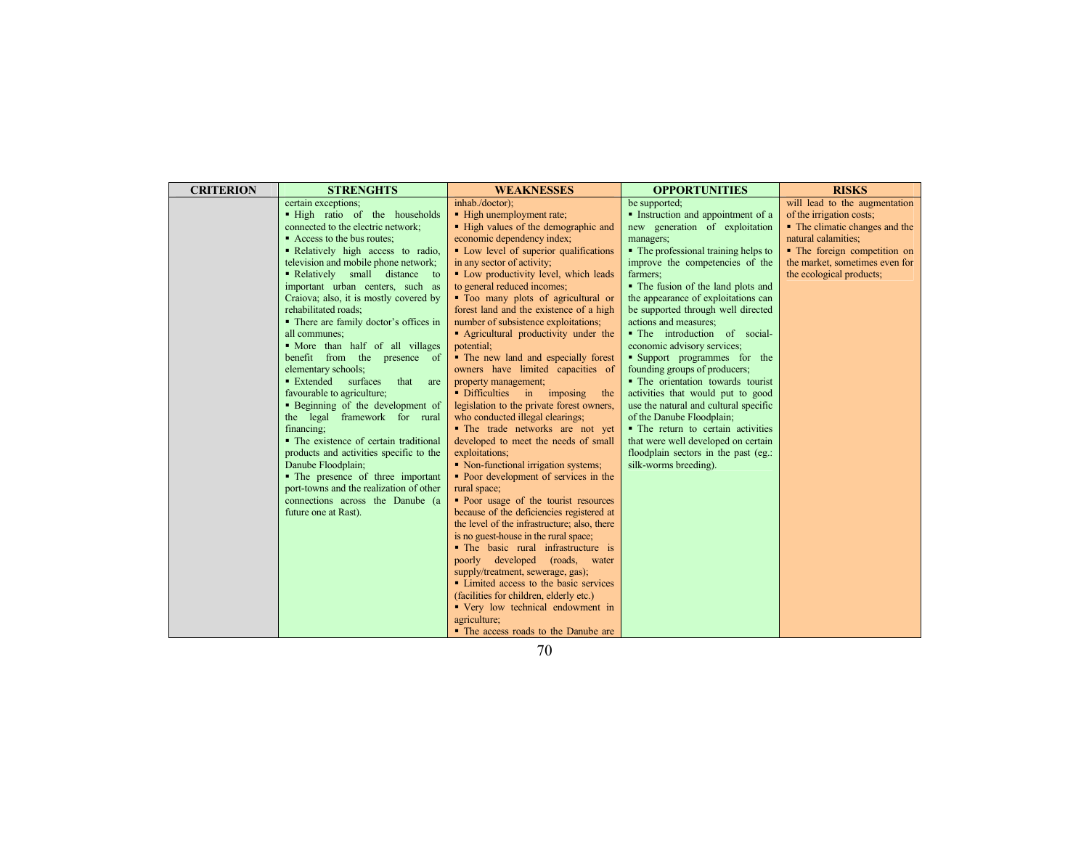| <b>CRITERION</b><br><b>STRENGHTS</b>    | <b>WEAKNESSES</b>                                                           | <b>OPPORTUNITIES</b>                  | <b>RISKS</b>                   |
|-----------------------------------------|-----------------------------------------------------------------------------|---------------------------------------|--------------------------------|
| certain exceptions;                     | inhab./doctor);                                                             | be supported;                         | will lead to the augmentation  |
| . High ratio of the households          | • High unemployment rate;                                                   | • Instruction and appointment of a    | of the irrigation costs;       |
| connected to the electric network;      | • High values of the demographic and                                        | new generation of exploitation        | • The climatic changes and the |
| • Access to the bus routes;             | economic dependency index;                                                  | managers;                             | natural calamities;            |
| • Relatively high access to radio,      | • Low level of superior qualifications                                      | • The professional training helps to  | • The foreign competition on   |
| television and mobile phone network;    | in any sector of activity;                                                  | improve the competencies of the       | the market, sometimes even for |
| • Relatively small distance to          | • Low productivity level, which leads                                       | farmers:                              | the ecological products;       |
| important urban centers, such as        | to general reduced incomes;                                                 | • The fusion of the land plots and    |                                |
| Craiova; also, it is mostly covered by  | • Too many plots of agricultural or                                         | the appearance of exploitations can   |                                |
| rehabilitated roads;                    | forest land and the existence of a high                                     | be supported through well directed    |                                |
| • There are family doctor's offices in  | number of subsistence exploitations;                                        | actions and measures;                 |                                |
| all communes;                           | • Agricultural productivity under the                                       | • The introduction of social-         |                                |
| • More than half of all villages        | potential;                                                                  | economic advisory services;           |                                |
| benefit from the presence of            | • The new land and especially forest                                        | • Support programmes for the          |                                |
| elementary schools;                     | owners have limited capacities of                                           | founding groups of producers;         |                                |
| • Extended<br>surfaces<br>that<br>are   | property management;                                                        | • The orientation towards tourist     |                                |
| favourable to agriculture;              | · Difficulties in imposing<br>the                                           | activities that would put to good     |                                |
| • Beginning of the development of       | legislation to the private forest owners,                                   | use the natural and cultural specific |                                |
| the legal framework for rural           | who conducted illegal clearings;                                            | of the Danube Floodplain;             |                                |
| financing:                              | • The trade networks are not yet                                            | • The return to certain activities    |                                |
| • The existence of certain traditional  | developed to meet the needs of small                                        | that were well developed on certain   |                                |
| products and activities specific to the | exploitations;                                                              | floodplain sectors in the past (eg.:  |                                |
| Danube Floodplain;                      | • Non-functional irrigation systems;                                        | silk-worms breeding).                 |                                |
| • The presence of three important       | • Poor development of services in the                                       |                                       |                                |
| port-towns and the realization of other | rural space;                                                                |                                       |                                |
| connections across the Danube (a        | • Poor usage of the tourist resources                                       |                                       |                                |
| future one at Rast).                    | because of the deficiencies registered at                                   |                                       |                                |
|                                         | the level of the infrastructure; also, there                                |                                       |                                |
|                                         | is no guest-house in the rural space;                                       |                                       |                                |
|                                         | • The basic rural infrastructure is                                         |                                       |                                |
|                                         | poorly developed (roads, water                                              |                                       |                                |
|                                         | supply/treatment, sewerage, gas);<br>• Limited access to the basic services |                                       |                                |
|                                         | (facilities for children, elderly etc.)                                     |                                       |                                |
|                                         | • Very low technical endowment in                                           |                                       |                                |
|                                         | agriculture;                                                                |                                       |                                |
|                                         | • The access roads to the Danube are                                        |                                       |                                |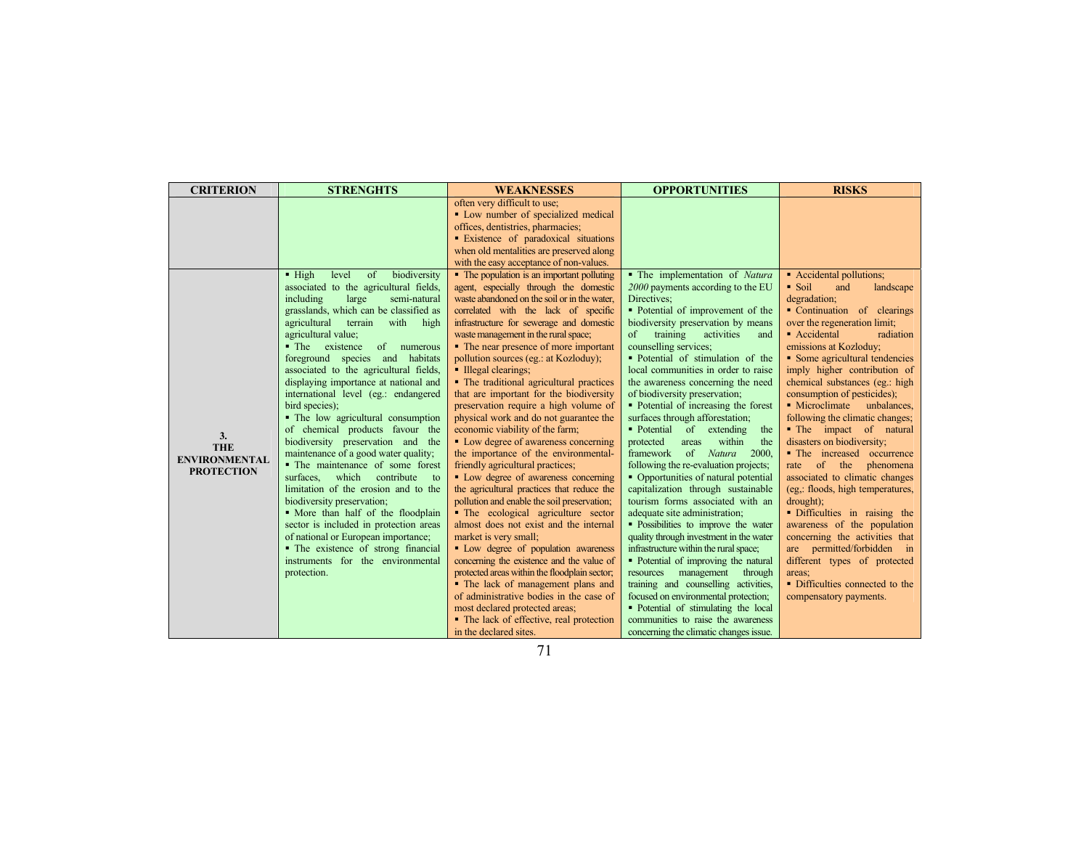| <b>CRITERION</b>     | <b>STRENGHTS</b>                                   | <b>WEAKNESSES</b>                             | <b>OPPORTUNITIES</b>                      | <b>RISKS</b>                     |
|----------------------|----------------------------------------------------|-----------------------------------------------|-------------------------------------------|----------------------------------|
|                      |                                                    | often very difficult to use;                  |                                           |                                  |
|                      |                                                    | • Low number of specialized medical           |                                           |                                  |
|                      |                                                    | offices, dentistries, pharmacies;             |                                           |                                  |
|                      |                                                    | • Existence of paradoxical situations         |                                           |                                  |
|                      |                                                    | when old mentalities are preserved along      |                                           |                                  |
|                      |                                                    | with the easy acceptance of non-values.       |                                           |                                  |
|                      | biodiversity<br>$\blacksquare$ High<br>level<br>of | • The population is an important polluting    | • The implementation of Natura            | • Accidental pollutions;         |
|                      | associated to the agricultural fields,             | agent, especially through the domestic        | 2000 payments according to the EU         | • Soil<br>and<br>landscape       |
|                      | including<br>large<br>semi-natural                 | waste abandoned on the soil or in the water.  | Directives;                               | degradation;                     |
|                      | grasslands, which can be classified as             | correlated with the lack of specific          | • Potential of improvement of the         | • Continuation of clearings      |
|                      | agricultural<br>terrain<br>with<br>high            | infrastructure for sewerage and domestic      | biodiversity preservation by means        | over the regeneration limit;     |
|                      | agricultural value;                                | waste management in the rural space;          | $\sigma$<br>training<br>activities<br>and | • Accidental<br>radiation        |
|                      | • The existence<br>of numerous                     | • The near presence of more important         | counselling services;                     | emissions at Kozloduy;           |
|                      | foreground species and habitats                    | pollution sources (eg.: at Kozloduy);         | • Potential of stimulation of the         | • Some agricultural tendencies   |
|                      | associated to the agricultural fields,             | • Illegal clearings;                          | local communities in order to raise       | imply higher contribution of     |
|                      | displaying importance at national and              | • The traditional agricultural practices      | the awareness concerning the need         | chemical substances (eg.: high   |
|                      | international level (eg.: endangered               | that are important for the biodiversity       | of biodiversity preservation;             | consumption of pesticides);      |
|                      | bird species);                                     | preservation require a high volume of         | • Potential of increasing the forest      | • Microclimate<br>unbalances,    |
|                      | • The low agricultural consumption                 | physical work and do not guarantee the        | surfaces through afforestation;           | following the climatic changes;  |
| 3.                   | of chemical products favour the                    | economic viability of the farm;               | • Potential of extending<br>the           | • The impact of natural          |
| <b>THE</b>           | biodiversity preservation and the                  | • Low degree of awareness concerning          | protected<br>within<br>areas<br>the       | disasters on biodiversity;       |
| <b>ENVIRONMENTAL</b> | maintenance of a good water quality;               | the importance of the environmental-          | of<br>framework<br>Natura<br>2000.        | • The increased occurrence       |
| <b>PROTECTION</b>    | • The maintenance of some forest                   | friendly agricultural practices;              | following the re-evaluation projects;     | of the<br>phenomena<br>rate      |
|                      | which<br>contribute<br>surfaces.<br>$\overline{t}$ | • Low degree of awareness concerning          | • Opportunities of natural potential      | associated to climatic changes   |
|                      | limitation of the erosion and to the               | the agricultural practices that reduce the    | capitalization through sustainable        | (eg.: floods, high temperatures, |
|                      | biodiversity preservation;                         | pollution and enable the soil preservation;   | tourism forms associated with an          | $drought)$ ;                     |
|                      | • More than half of the floodplain                 | • The ecological agriculture sector           | adequate site administration;             | · Difficulties in raising the    |
|                      | sector is included in protection areas             | almost does not exist and the internal        | • Possibilities to improve the water      | awareness of the population      |
|                      | of national or European importance;                | market is very small;                         | quality through investment in the water   | concerning the activities that   |
|                      | • The existence of strong financial                | • Low degree of population awareness          | infrastructure within the rural space;    | are permitted/forbidden in       |
|                      | instruments for the environmental                  | concerning the existence and the value of     | • Potential of improving the natural      | different types of protected     |
|                      | protection.                                        | protected areas within the floodplain sector; | management<br>resources<br>through        | areas:                           |
|                      |                                                    | • The lack of management plans and            | training and counselling activities,      | • Difficulties connected to the  |
|                      |                                                    | of administrative bodies in the case of       | focused on environmental protection;      | compensatory payments.           |
|                      |                                                    | most declared protected areas;                | • Potential of stimulating the local      |                                  |
|                      |                                                    | • The lack of effective, real protection      | communities to raise the awareness        |                                  |
|                      |                                                    | in the declared sites.                        | concerning the climatic changes issue.    |                                  |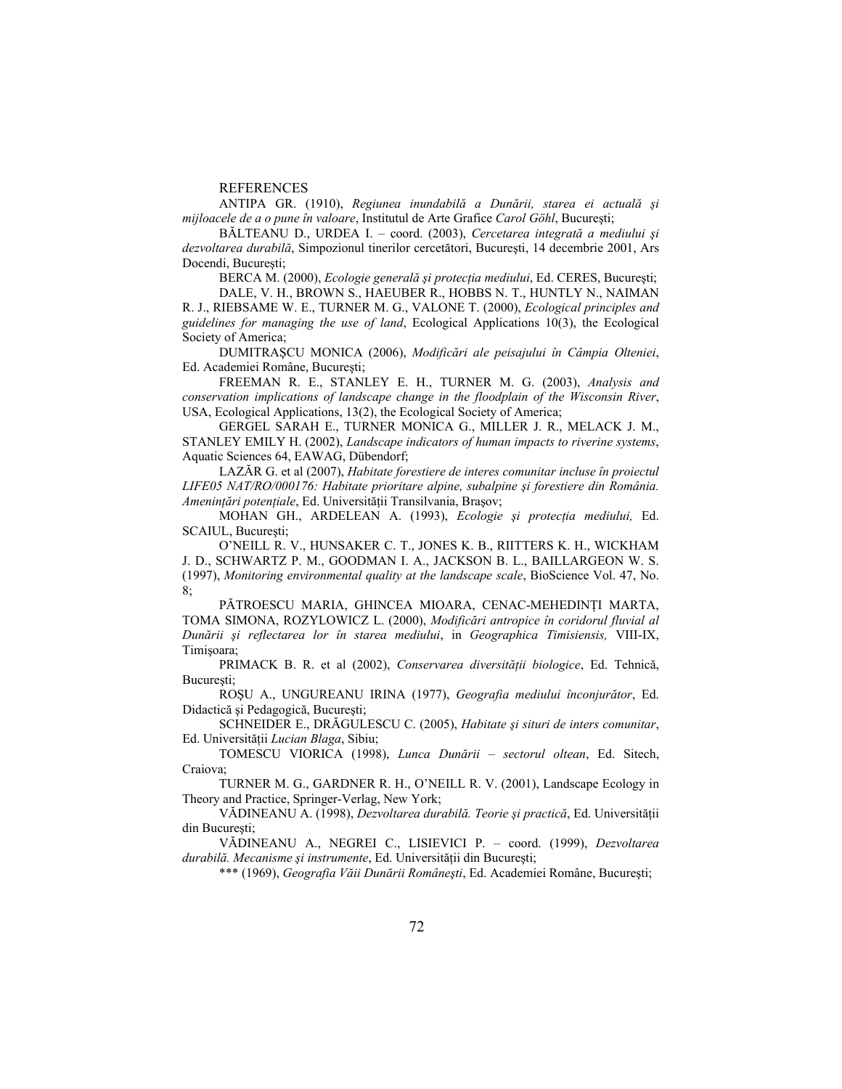## REFERENCES

ANTIPA GR. (1910), *Regiunea inundabilă a Dunării, starea ei actuală şi mijloacele de a o pune în valoare*, Institutul de Arte Grafice *Carol Göhl*, Bucureşti;

BĂLTEANU D., URDEA I. – coord. (2003), *Cercetarea integrată a mediului şi dezvoltarea durabilă*, Simpozionul tinerilor cercetători, Bucureşti, 14 decembrie 2001, Ars Docendi, Bucureşti;

BERCA M. (2000), *Ecologie generală şi protecţia mediului*, Ed. CERES, Bucureşti;

DALE, V. H., BROWN S., HAEUBER R., HOBBS N. T., HUNTLY N., NAIMAN R. J., RIEBSAME W. E., TURNER M. G., VALONE T. (2000), *Ecological principles and guidelines for managing the use of land*, Ecological Applications 10(3), the Ecological Society of America;

DUMITRAŞCU MONICA (2006), *Modificări ale peisajului în Câmpia Olteniei*, Ed. Academiei Române, Bucureşti;

FREEMAN R. E., STANLEY E. H., TURNER M. G. (2003), *Analysis and conservation implications of landscape change in the floodplain of the Wisconsin River*, USA, Ecological Applications, 13(2), the Ecological Society of America;

GERGEL SARAH E., TURNER MONICA G., MILLER J. R., MELACK J. M., STANLEY EMILY H. (2002), *Landscape indicators of human impacts to riverine systems*, Aquatic Sciences 64, EAWAG, Dübendorf;

LAZĂR G. et al (2007), *Habitate forestiere de interes comunitar incluse în proiectul LIFE05 NAT/RO/000176: Habitate prioritare alpine, subalpine şi forestiere din România. Ameninţări potenţiale*, Ed. Universităţii Transilvania, Braşov;

MOHAN GH., ARDELEAN A. (1993), *Ecologie şi protecţia mediului,* Ed. SCAIUL, Bucureşti;

O'NEILL R. V., HUNSAKER C. T., JONES K. B., RIITTERS K. H., WICKHAM J. D., SCHWARTZ P. M., GOODMAN I. A., JACKSON B. L., BAILLARGEON W. S. (1997), *Monitoring environmental quality at the landscape scale*, BioScience Vol. 47, No. 8;

PĂTROESCU MARIA, GHINCEA MIOARA, CENAC-MEHEDINŢI MARTA, TOMA SIMONA, ROZYLOWICZ L. (2000), *Modificări antropice în coridorul fluvial al Dunării şi reflectarea lor în starea mediului*, in *Geographica Timisiensis,* VIII-IX, Timişoara;

PRIMACK B. R. et al (2002), *Conservarea diversităţii biologice*, Ed. Tehnică, Bucureşti;

ROŞU A., UNGUREANU IRINA (1977), *Geografia mediului înconjurător*, Ed. Didactică şi Pedagogică, Bucureşti;

SCHNEIDER E., DRĂGULESCU C. (2005), *Habitate şi situri de inters comunitar*, Ed. Universităţii *Lucian Blaga*, Sibiu;

TOMESCU VIORICA (1998), *Lunca Dunării – sectorul oltean*, Ed. Sitech, Craiova;

TURNER M. G., GARDNER R. H., O'NEILL R. V. (2001), Landscape Ecology in Theory and Practice, Springer-Verlag, New York;

VĂDINEANU A. (1998), *Dezvoltarea durabilă. Teorie şi practică*, Ed. Universităţii din Bucureşti;

VĂDINEANU A., NEGREI C., LISIEVICI P. – coord. (1999), *Dezvoltarea durabilă. Mecanisme şi instrumente*, Ed. Universităţii din Bucureşti;

\*\*\* (1969), *Geografia Văii Dunării Româneşti*, Ed. Academiei Române, Bucureşti;